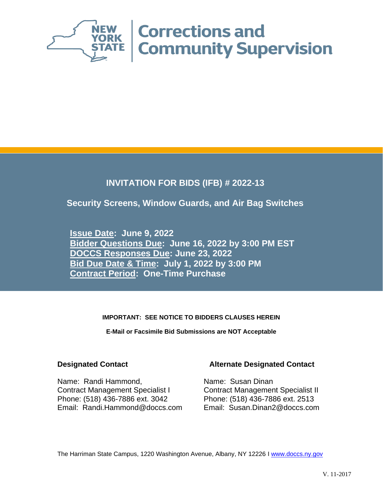

## **INVITATION FOR BIDS (IFB) # 2022-13**

### **Security Screens, Window Guards, and Air Bag Switches**

**Issue Date: June 9, 2022 Bidder Questions Due: June 16, 2022 by 3:00 PM EST DOCCS Responses Due: June 23, 2022 Bid Due Date & Time: July 1, 2022 by 3:00 PM Contract Period: One-Time Purchase**

### **IMPORTANT: SEE NOTICE TO BIDDERS CLAUSES HEREIN**

**E-Mail or Facsimile Bid Submissions are NOT Acceptable**

Name: Randi Hammond, Contract Management Specialist I Phone: (518) 436-7886 ext. 3042 Phone: (518) 436-7886 ext. 2513 Email: Randi.Hammond@doccs.com Email: Susan.Dinan2@doccs.com

### **Designated Contact Alternate Designated Contact**

Name: Susan Dinan Contract Management Specialist II

The Harriman State Campus, 1220 Washington Avenue, Albany, NY 12226 I [www.doccs.ny.gov](http://www.doccs.ny.gov/)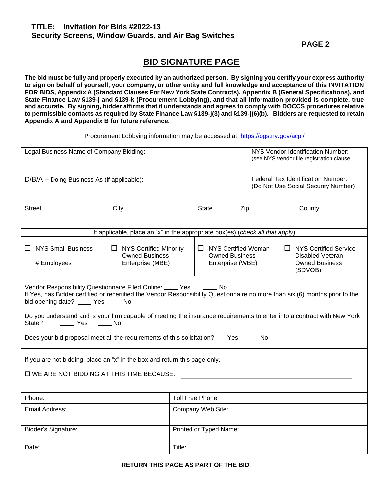**PAGE 2** 

## **BID SIGNATURE PAGE**

**The bid must be fully and properly executed by an authorized person**. **By signing you certify your express authority to sign on behalf of yourself, your company, or other entity and full knowledge and acceptance of this INVITATION FOR BIDS, Appendix A (Standard Clauses For New York State Contracts), Appendix B (General Specifications), and State Finance Law §139-j and §139-k (Procurement Lobbying), and that all information provided is complete, true and accurate. By signing, bidder affirms that it understands and agrees to comply with DOCCS procedures relative to permissible contacts as required by State Finance Law §139-j(3) and §139-j(6)(b). Bidders are requested to retain Appendix A and Appendix B for future reference.**

Procurement Lobbying information may be accessed at: <https://ogs.ny.gov/acpl/>

| Legal Business Name of Company Bidding:                                                                                                                                                                                                                                                                                                                                                                                                                                                                                        |                                                                               |  |                                                                                      | NYS Vendor Identification Number:<br>(see NYS vendor file registration clause |        |
|--------------------------------------------------------------------------------------------------------------------------------------------------------------------------------------------------------------------------------------------------------------------------------------------------------------------------------------------------------------------------------------------------------------------------------------------------------------------------------------------------------------------------------|-------------------------------------------------------------------------------|--|--------------------------------------------------------------------------------------|-------------------------------------------------------------------------------|--------|
| D/B/A - Doing Business As (if applicable):                                                                                                                                                                                                                                                                                                                                                                                                                                                                                     |                                                                               |  |                                                                                      | Federal Tax Identification Number:<br>(Do Not Use Social Security Number)     |        |
| Street                                                                                                                                                                                                                                                                                                                                                                                                                                                                                                                         | City                                                                          |  | Zip<br><b>State</b>                                                                  |                                                                               | County |
|                                                                                                                                                                                                                                                                                                                                                                                                                                                                                                                                | If applicable, place an "x" in the appropriate box(es) (check all that apply) |  |                                                                                      |                                                                               |        |
| <b>NYS Small Business</b><br>$\Box$ NYS Certified Woman-<br>ப<br>$\Box$ NYS Certified Minority-<br><b>Owned Business</b><br><b>Owned Business</b><br>Enterprise (MBE)<br>Enterprise (WBE)<br># Employees ______                                                                                                                                                                                                                                                                                                                |                                                                               |  | $\Box$ NYS Certified Service<br>Disabled Veteran<br><b>Owned Business</b><br>(SDVOB) |                                                                               |        |
| Vendor Responsibility Questionnaire Filed Online: ____ Yes<br>$\frac{1}{\sqrt{1-\frac{1}{2}}}$ No<br>If Yes, has Bidder certified or recertified the Vendor Responsibility Questionnaire no more than six (6) months prior to the<br>bid opening date? _____ Yes ____ No<br>Do you understand and is your firm capable of meeting the insurance requirements to enter into a contract with New York<br>State?<br>_____ Yes<br>——— No<br>Does your bid proposal meet all the requirements of this solicitation?____Yes _____ No |                                                                               |  |                                                                                      |                                                                               |        |
| If you are not bidding, place an "x" in the box and return this page only.<br>□ WE ARE NOT BIDDING AT THIS TIME BECAUSE:                                                                                                                                                                                                                                                                                                                                                                                                       |                                                                               |  |                                                                                      |                                                                               |        |
| Phone:<br>Toll Free Phone:                                                                                                                                                                                                                                                                                                                                                                                                                                                                                                     |                                                                               |  |                                                                                      |                                                                               |        |
| Email Address:                                                                                                                                                                                                                                                                                                                                                                                                                                                                                                                 | Company Web Site:                                                             |  |                                                                                      |                                                                               |        |
| Printed or Typed Name:<br>Bidder's Signature:                                                                                                                                                                                                                                                                                                                                                                                                                                                                                  |                                                                               |  |                                                                                      |                                                                               |        |
| Title:<br>Date:                                                                                                                                                                                                                                                                                                                                                                                                                                                                                                                |                                                                               |  |                                                                                      |                                                                               |        |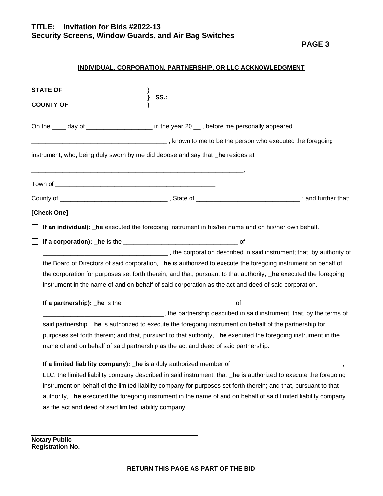### **INDIVIDUAL, CORPORATION, PARTNERSHIP, OR LLC ACKNOWLEDGMENT**

| <b>STATE OF</b><br><b>SS.:</b>                                                                                                                                            |
|---------------------------------------------------------------------------------------------------------------------------------------------------------------------------|
| <b>COUNTY OF</b>                                                                                                                                                          |
| On the ____ day of ___________________ in the year 20 __ , before me personally appeared                                                                                  |
|                                                                                                                                                                           |
| instrument, who, being duly sworn by me did depose and say that _he resides at                                                                                            |
|                                                                                                                                                                           |
|                                                                                                                                                                           |
| [Check One]                                                                                                                                                               |
| If an individual): he executed the foregoing instrument in his/her name and on his/her own behalf.                                                                        |
|                                                                                                                                                                           |
| the corporation described in said instrument; that, by authority of the corporation described in said instrument; that, by authority of                                   |
| the Board of Directors of said corporation, _he is authorized to execute the foregoing instrument on behalf of                                                            |
| the corporation for purposes set forth therein; and that, pursuant to that authority, he executed the foregoing                                                           |
| instrument in the name of and on behalf of said corporation as the act and deed of said corporation.                                                                      |
|                                                                                                                                                                           |
| the partnership described in said instrument; that, by the terms of the terms of                                                                                          |
| said partnership, _he is authorized to execute the foregoing instrument on behalf of the partnership for                                                                  |
| purposes set forth therein; and that, pursuant to that authority, _he executed the foregoing instrument in the                                                            |
| name of and on behalf of said partnership as the act and deed of said partnership.                                                                                        |
| If a limited liability company): _ he is a duly authorized member of _                                                                                                    |
| LLC, the limited liability company described in said instrument; that _he is authorized to execute the foregoing                                                          |
| instrument on behalf of the limited liability company for purposes set forth therein; and that, pursuant to that                                                          |
| authority, _he executed the foregoing instrument in the name of and on behalf of said limited liability company<br>as the act and deed of said limited liability company. |
|                                                                                                                                                                           |

**Notary Public Registration No.**

\_\_\_\_\_\_\_\_\_\_\_\_\_\_\_\_\_\_\_\_\_\_\_\_\_\_\_\_\_\_\_\_\_\_\_\_\_\_\_\_\_\_\_\_\_\_\_\_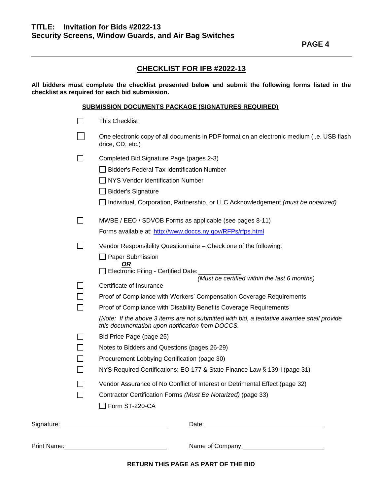### **CHECKLIST FOR IFB #2022-13**

**All bidders must complete the checklist presented below and submit the following forms listed in the checklist as required for each bid submission.**

#### **SUBMISSION DOCUMENTS PACKAGE (SIGNATURES REQUIRED)**

|                | $\Box$ Form ST-220-CA                                                                                                                         |
|----------------|-----------------------------------------------------------------------------------------------------------------------------------------------|
|                | Contractor Certification Forms (Must Be Notarized) (page 33)                                                                                  |
|                | Vendor Assurance of No Conflict of Interest or Detrimental Effect (page 32)                                                                   |
|                | NYS Required Certifications: EO 177 & State Finance Law § 139-1 (page 31)                                                                     |
| $\blacksquare$ | Procurement Lobbying Certification (page 30)                                                                                                  |
|                | Notes to Bidders and Questions (pages 26-29)                                                                                                  |
|                | Bid Price Page (page 25)                                                                                                                      |
|                | (Note: If the above 3 items are not submitted with bid, a tentative awardee shall provide<br>this documentation upon notification from DOCCS. |
| $\mathsf{L}$   | Proof of Compliance with Disability Benefits Coverage Requirements                                                                            |
|                | Proof of Compliance with Workers' Compensation Coverage Requirements                                                                          |
|                | Certificate of Insurance                                                                                                                      |
|                | Electronic Filing - Certified Date:<br>(Must be certified within the last 6 months)                                                           |
|                | <b>OR</b>                                                                                                                                     |
|                | Paper Submission                                                                                                                              |
| $\Box$         | Vendor Responsibility Questionnaire - Check one of the following:                                                                             |
|                | Forms available at: http://www.doccs.ny.gov/RFPs/rfps.html                                                                                    |
| $\blacksquare$ | MWBE / EEO / SDVOB Forms as applicable (see pages 8-11)                                                                                       |
|                | Individual, Corporation, Partnership, or LLC Acknowledgement (must be notarized)                                                              |
|                | <b>Bidder's Signature</b>                                                                                                                     |
|                | NYS Vendor Identification Number                                                                                                              |
|                | <b>Bidder's Federal Tax Identification Number</b>                                                                                             |
|                | Completed Bid Signature Page (pages 2-3)                                                                                                      |
|                | One electronic copy of all documents in PDF format on an electronic medium (i.e. USB flash<br>drice, CD, etc.)                                |
|                | <b>This Checklist</b>                                                                                                                         |
|                |                                                                                                                                               |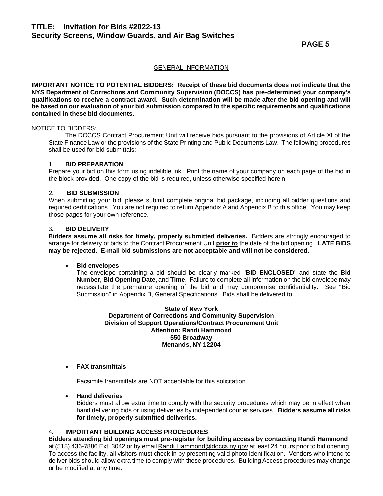**IMPORTANT NOTICE TO POTENTIAL BIDDERS: Receipt of these bid documents does not indicate that the NYS Department of Corrections and Community Supervision (DOCCS) has pre-determined your company's qualifications to receive a contract award. Such determination will be made after the bid opening and will be based on our evaluation of your bid submission compared to the specific requirements and qualifications contained in these bid documents.**

### NOTICE TO BIDDERS:

The DOCCS Contract Procurement Unit will receive bids pursuant to the provisions of Article XI of the State Finance Law or the provisions of the State Printing and Public Documents Law. The following procedures shall be used for bid submittals:

#### 1. **BID PREPARATION**

Prepare your bid on this form using indelible ink. Print the name of your company on each page of the bid in the block provided. One copy of the bid is required, unless otherwise specified herein.

#### 2. **BID SUBMISSION**

When submitting your bid, please submit complete original bid package, including all bidder questions and required certifications. You are not required to return Appendix A and Appendix B to this office. You may keep those pages for your own reference.

#### 3. **BID DELIVERY**

**Bidders assume all risks for timely, properly submitted deliveries.** Bidders are strongly encouraged to arrange for delivery of bids to the Contract Procurement Unit **prior to** the date of the bid opening. **LATE BIDS may be rejected. E-mail bid submissions are not acceptable and will not be considered.**

#### • **Bid envelopes**

The envelope containing a bid should be clearly marked "**BID ENCLOSED**" and state the **Bid Number, Bid Opening Date,** and **Time**. Failure to complete all information on the bid envelope may necessitate the premature opening of the bid and may compromise confidentiality. See "Bid Submission" in Appendix B, General Specifications. Bids shall be delivered to:

#### **State of New York Department of Corrections and Community Supervision Division of Support Operations/Contract Procurement Unit Attention: Randi Hammond 550 Broadway Menands, NY 12204**

#### • **FAX transmittals**

Facsimile transmittals are NOT acceptable for this solicitation.

#### • **Hand deliveries**

Bidders must allow extra time to comply with the security procedures which may be in effect when hand delivering bids or using deliveries by independent courier services. **Bidders assume all risks for timely, properly submitted deliveries.** 

#### 4. **IMPORTANT BUILDING ACCESS PROCEDURES**

**Bidders attending bid openings must pre-register for building access by contacting Randi Hammond** at (518) 436-7886 Ext. 3042 or by email Randi.Hammond@doccs.ny.gov at least 24 hours prior to bid opening. To access the facility, all visitors must check in by presenting valid photo identification. Vendors who intend to deliver bids should allow extra time to comply with these procedures. Building Access procedures may change or be modified at any time.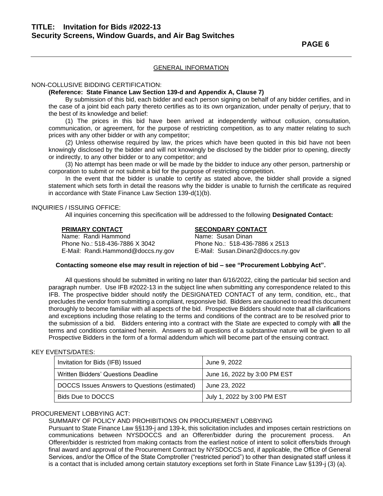#### NON-COLLUSIVE BIDDING CERTIFICATION:

#### **(Reference: State Finance Law Section 139-d and Appendix A, Clause 7)**

By submission of this bid, each bidder and each person signing on behalf of any bidder certifies, and in the case of a joint bid each party thereto certifies as to its own organization, under penalty of perjury, that to the best of its knowledge and belief:

(1) The prices in this bid have been arrived at independently without collusion, consultation, communication, or agreement, for the purpose of restricting competition, as to any matter relating to such prices with any other bidder or with any competitor;

(2) Unless otherwise required by law, the prices which have been quoted in this bid have not been knowingly disclosed by the bidder and will not knowingly be disclosed by the bidder prior to opening, directly or indirectly, to any other bidder or to any competitor; and

(3) No attempt has been made or will be made by the bidder to induce any other person, partnership or corporation to submit or not submit a bid for the purpose of restricting competition.

In the event that the bidder is unable to certify as stated above, the bidder shall provide a signed statement which sets forth in detail the reasons why the bidder is unable to furnish the certificate as required in accordance with State Finance Law Section 139-d(1)(b).

#### INQUIRIES / ISSUING OFFICE:

All inquiries concerning this specification will be addressed to the following **Designated Contact:**

| <b>PRIMARY CONTACT</b>             | <b>SECONDARY CONTACT</b>          |
|------------------------------------|-----------------------------------|
| Name: Randi Hammond                | Name: Susan Dinan                 |
| Phone No.: 518-436-7886 X 3042     | Phone No.: 518-436-7886 x 2513    |
| E-Mail: Randi.Hammond@doccs.ny.gov | E-Mail: Susan.Dinan2@doccs.ny.gov |

#### **Contacting someone else may result in rejection of bid – see "Procurement Lobbying Act".**

All questions should be submitted in writing no later than 6/16/2022, citing the particular bid section and paragraph number. Use IFB #2022-13 in the subject line when submitting any correspondence related to this IFB. The prospective bidder should notify the DESIGNATED CONTACT of any term, condition, etc., that precludes the vendor from submitting a compliant, responsive bid. Bidders are cautioned to read this document thoroughly to become familiar with all aspects of the bid. Prospective Bidders should note that all clarifications and exceptions including those relating to the terms and conditions of the contract are to be resolved prior to the submission of a bid. Bidders entering into a contract with the State are expected to comply with **all** the terms and conditions contained herein. Answers to all questions of a substantive nature will be given to all Prospective Bidders in the form of a formal addendum which will become part of the ensuing contract.

#### KEY EVENTS/DATES:

| Invitation for Bids (IFB) Issued              | June 9, 2022                 |
|-----------------------------------------------|------------------------------|
| Written Bidders' Questions Deadline           | June 16, 2022 by 3:00 PM EST |
| DOCCS Issues Answers to Questions (estimated) | June 23, 2022                |
| Bids Due to DOCCS                             | July 1, 2022 by 3:00 PM EST  |

#### PROCUREMENT LOBBYING ACT:

#### SUMMARY OF POLICY AND PROHIBITIONS ON PROCUREMENT LOBBYING

Pursuant to State Finance Law §§139-j and 139-k, this solicitation includes and imposes certain restrictions on communications between NYSDOCCS and an Offerer/bidder during the procurement process. An Offerer/bidder is restricted from making contacts from the earliest notice of intent to solicit offers/bids through final award and approval of the Procurement Contract by NYSDOCCS and, if applicable, the Office of General Services, and/or the Office of the State Comptroller ("restricted period") to other than designated staff unless it is a contact that is included among certain statutory exceptions set forth in State Finance Law §139-j (3) (a).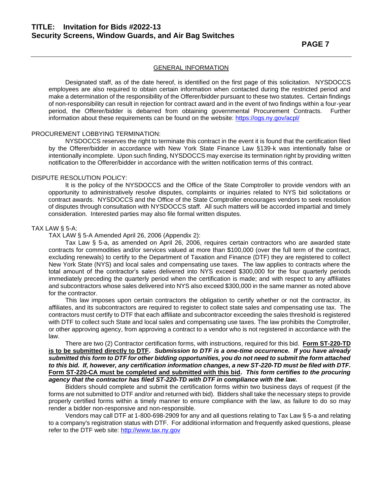Designated staff, as of the date hereof, is identified on the first page of this solicitation. NYSDOCCS employees are also required to obtain certain information when contacted during the restricted period and make a determination of the responsibility of the Offerer/bidder pursuant to these two statutes. Certain findings of non-responsibility can result in rejection for contract award and in the event of two findings within a four-year period, the Offerer/bidder is debarred from obtaining governmental Procurement Contracts. Further information about these requirements can be found on the website: <https://ogs.ny.gov/acpl/>

#### PROCUREMENT LOBBYING TERMINATION:

NYSDOCCS reserves the right to terminate this contract in the event it is found that the certification filed by the Offerer/bidder in accordance with New York State Finance Law §139-k was intentionally false or intentionally incomplete. Upon such finding, NYSDOCCS may exercise its termination right by providing written notification to the Offerer/bidder in accordance with the written notification terms of this contract.

#### DISPUTE RESOLUTION POLICY:

It is the policy of the NYSDOCCS and the Office of the State Comptroller to provide vendors with an opportunity to administratively resolve disputes, complaints or inquiries related to NYS bid solicitations or contract awards. NYSDOCCS and the Office of the State Comptroller encourages vendors to seek resolution of disputes through consultation with NYSDOCCS staff. All such matters will be accorded impartial and timely consideration. Interested parties may also file formal written disputes.

#### TAX LAW § 5-A:

TAX LAW § 5-A Amended April 26, 2006 (Appendix 2):

Tax Law § 5-a, as amended on April 26, 2006, requires certain contractors who are awarded state contracts for commodities and/or services valued at more than \$100,000 (over the full term of the contract, excluding renewals) to certify to the Department of Taxation and Finance (DTF) they are registered to collect New York State (NYS) and local sales and compensating use taxes. The law applies to contracts where the total amount of the contractor's sales delivered into NYS exceed \$300,000 for the four quarterly periods immediately preceding the quarterly period when the certification is made; and with respect to any affiliates and subcontractors whose sales delivered into NYS also exceed \$300,000 in the same manner as noted above for the contractor.

This law imposes upon certain contractors the obligation to certify whether or not the contractor, its affiliates, and its subcontractors are required to register to collect state sales and compensating use tax. The contractors must certify to DTF that each affiliate and subcontractor exceeding the sales threshold is registered with DTF to collect such State and local sales and compensating use taxes. The law prohibits the Comptroller, or other approving agency, from approving a contract to a vendor who is not registered in accordance with the law.

There are two (2) Contractor certification forms, with instructions, required for this bid. **Form ST-220-TD is to be submitted directly to DTF.** *Submission to DTF is a one-time occurrence. If you have already submitted this form to DTF for other bidding opportunities, you do not need to submit the form attached to this bid. If, however, any certification information changes, a new ST-220-TD must be filed with DTF.* **Form ST-220-CA must be completed and submitted with this bid.** *This form certifies to the procuring agency that the contractor has filed ST-220-TD with DTF in compliance with the law.*

Bidders should complete and submit the certification forms within two business days of request (if the forms are not submitted to DTF and/or and returned with bid). Bidders shall take the necessary steps to provide properly certified forms within a timely manner to ensure compliance with the law, as failure to do so may render a bidder non-responsive and non-responsible.

 Vendors may call DTF at 1-800-698-2909 for any and all questions relating to Tax Law § 5-a and relating to a company's registration status with DTF. For additional information and frequently asked questions, please refer to the DTF web site: [http://www.tax.ny.gov](http://www.tax.ny.gov/)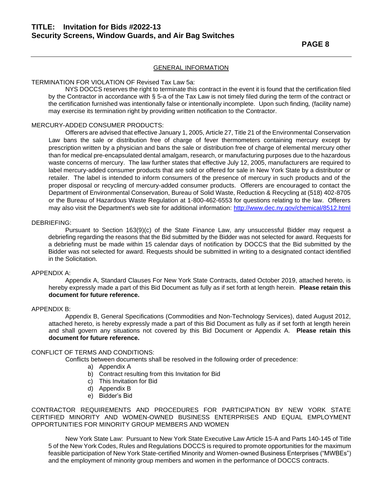#### TERMINATION FOR VIOLATION OF Revised Tax Law 5a:

NYS DOCCS reserves the right to terminate this contract in the event it is found that the certification filed by the Contractor in accordance with § 5-a of the Tax Law is not timely filed during the term of the contract or the certification furnished was intentionally false or intentionally incomplete. Upon such finding*,* (facility name) may exercise its termination right by providing written notification to the Contractor.

#### MERCURY-ADDED CONSUMER PRODUCTS:

Offerers are advised that effective January 1, 2005, Article 27, Title 21 of the Environmental Conservation Law bans the sale or distribution free of charge of fever thermometers containing mercury except by prescription written by a physician and bans the sale or distribution free of charge of elemental mercury other than for medical pre-encapsulated dental amalgam, research, or manufacturing purposes due to the hazardous waste concerns of mercury. The law further states that effective July 12, 2005, manufacturers are required to label mercury-added consumer products that are sold or offered for sale in New York State by a distributor or retailer. The label is intended to inform consumers of the presence of mercury in such products and of the proper disposal or recycling of mercury-added consumer products. Offerers are encouraged to contact the Department of Environmental Conservation, Bureau of Solid Waste, Reduction & Recycling at (518) 402-8705 or the Bureau of Hazardous Waste Regulation at 1-800-462-6553 for questions relating to the law. Offerers may also visit the Department's web site for additional information:<http://www.dec.ny.gov/chemical/8512.html>

#### DEBRIEFING:

Pursuant to Section 163(9)(c) of the State Finance Law, any unsuccessful Bidder may request a debriefing regarding the reasons that the Bid submitted by the Bidder was not selected for award. Requests for a debriefing must be made within 15 calendar days of notification by DOCCS that the Bid submitted by the Bidder was not selected for award. Requests should be submitted in writing to a designated contact identified in the Solicitation.

#### APPENDIX A:

Appendix A, Standard Clauses For New York State Contracts, dated October 2019, attached hereto, is hereby expressly made a part of this Bid Document as fully as if set forth at length herein. **Please retain this document for future reference.**

#### APPENDIX B:

Appendix B, General Specifications (Commodities and Non-Technology Services), dated August 2012, attached hereto, is hereby expressly made a part of this Bid Document as fully as if set forth at length herein and shall govern any situations not covered by this Bid Document or Appendix A. **Please retain this document for future reference.**

#### CONFLICT OF TERMS AND CONDITIONS:

Conflicts between documents shall be resolved in the following order of precedence:

- a) Appendix A
- b) Contract resulting from this Invitation for Bid
- c) This Invitation for Bid
- d) Appendix B
- e) Bidder's Bid

CONTRACTOR REQUIREMENTS AND PROCEDURES FOR PARTICIPATION BY NEW YORK STATE CERTIFIED MINORITY AND WOMEN-OWNED BUSINESS ENTERPRISES AND EQUAL EMPLOYMENT OPPORTUNITIES FOR MINORITY GROUP MEMBERS AND WOMEN

New York State Law:Pursuant to New York State Executive Law Article 15-A and Parts 140-145 of Title 5 of the New York Codes, Rules and Regulations DOCCS is required to promote opportunities for the maximum feasible participation of New York State-certified Minority and Women-owned Business Enterprises ("MWBEs") and the employment of minority group members and women in the performance of DOCCS contracts.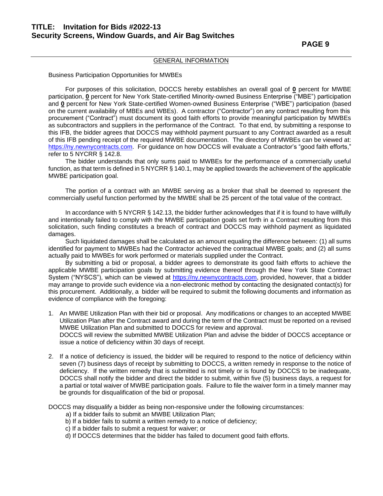### **PAGE 9**

#### GENERAL INFORMATION

Business Participation Opportunities for MWBEs

For purposes of this solicitation, DOCCS hereby establishes an overall goal of **0** percent for MWBE participation, **0** percent for New York State-certified Minority-owned Business Enterprise ("MBE") participation and **0** percent for New York State-certified Women-owned Business Enterprise ("WBE") participation (based on the current availability of MBEs and WBEs). A contractor ("Contractor") on any contract resulting from this procurement ("Contract") must document its good faith efforts to provide meaningful participation by MWBEs as subcontractors and suppliers in the performance of the Contract. To that end, by submitting a response to this IFB, the bidder agrees that DOCCS may withhold payment pursuant to any Contract awarded as a result of this IFB pending receipt of the required MWBE documentation. The directory of MWBEs can be viewed at: [https://ny.newnycontracts.com.](https://ny.newnycontracts.com/) For guidance on how DOCCS will evaluate a Contractor's "good faith efforts," refer to 5 NYCRR § 142.8.

The bidder understands that only sums paid to MWBEs for the performance of a commercially useful function, as that term is defined in 5 NYCRR § 140.1, may be applied towards the achievement of the applicable MWBE participation goal.

The portion of a contract with an MWBE serving as a broker that shall be deemed to represent the commercially useful function performed by the MWBE shall be 25 percent of the total value of the contract.

In accordance with 5 NYCRR § 142.13, the bidder further acknowledges that if it is found to have willfully and intentionally failed to comply with the MWBE participation goals set forth in a Contract resulting from this solicitation, such finding constitutes a breach of contract and DOCCS may withhold payment as liquidated damages.

Such liquidated damages shall be calculated as an amount equaling the difference between: (1) all sums identified for payment to MWBEs had the Contractor achieved the contractual MWBE goals; and (2) all sums actually paid to MWBEs for work performed or materials supplied under the Contract.

By submitting a bid or proposal, a bidder agrees to demonstrate its good faith efforts to achieve the applicable MWBE participation goals by submitting evidence thereof through the New York State Contract System ("NYSCS"), which can be viewed at [https://ny.newnycontracts.com,](https://ny.newnycontracts.com/) provided, however, that a bidder may arrange to provide such evidence via a non-electronic method by contacting the designated contact(s) for this procurement. Additionally, a bidder will be required to submit the following documents and information as evidence of compliance with the foregoing:

1. An MWBE Utilization Plan with their bid or proposal. Any modifications or changes to an accepted MWBE Utilization Plan after the Contract award and during the term of the Contract must be reported on a revised MWBE Utilization Plan and submitted to DOCCS for review and approval.

DOCCS will review the submitted MWBE Utilization Plan and advise the bidder of DOCCS acceptance or issue a notice of deficiency within 30 days of receipt.

2. If a notice of deficiency is issued, the bidder will be required to respond to the notice of deficiency within seven (7) business days of receipt by submitting to DOCCS, a written remedy in response to the notice of deficiency. If the written remedy that is submitted is not timely or is found by DOCCS to be inadequate, DOCCS shall notify the bidder and direct the bidder to submit, within five (5) business days, a request for a partial or total waiver of MWBE participation goals. Failure to file the waiver form in a timely manner may be grounds for disqualification of the bid or proposal.

DOCCS may disqualify a bidder as being non-responsive under the following circumstances:

- a) If a bidder fails to submit an MWBE Utilization Plan;
- b) If a bidder fails to submit a written remedy to a notice of deficiency;
- c) If a bidder fails to submit a request for waiver; or
- d) If DOCCS determines that the bidder has failed to document good faith efforts.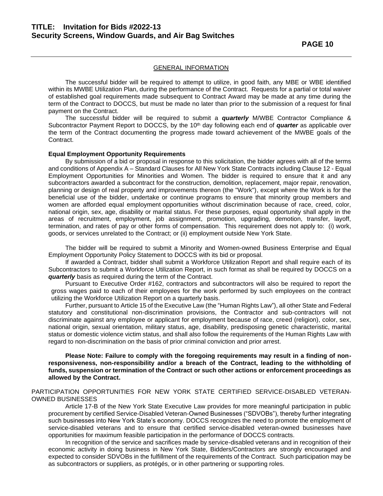The successful bidder will be required to attempt to utilize, in good faith, any MBE or WBE identified within its MWBE Utilization Plan, during the performance of the Contract. Requests for a partial or total waiver of established goal requirements made subsequent to Contract Award may be made at any time during the term of the Contract to DOCCS, but must be made no later than prior to the submission of a request for final payment on the Contract.

The successful bidder will be required to submit a *quarterly* M/WBE Contractor Compliance & Subcontractor Payment Report to DOCCS, by the 10<sup>th</sup> day following each end of *quarter* as applicable over the term of the Contract documenting the progress made toward achievement of the MWBE goals of the Contract.

#### **Equal Employment Opportunity Requirements**

By submission of a bid or proposal in response to this solicitation, the bidder agrees with all of the terms and conditions of Appendix A – Standard Clauses for All New York State Contracts including Clause 12 - Equal Employment Opportunities for Minorities and Women. The bidder is required to ensure that it and any subcontractors awarded a subcontract for the construction, demolition, replacement, major repair, renovation, planning or design of real property and improvements thereon (the "Work"), except where the Work is for the beneficial use of the bidder, undertake or continue programs to ensure that minority group members and women are afforded equal employment opportunities without discrimination because of race, creed, color, national origin, sex, age, disability or marital status. For these purposes, equal opportunity shall apply in the areas of recruitment, employment, job assignment, promotion, upgrading, demotion, transfer, layoff, termination, and rates of pay or other forms of compensation. This requirement does not apply to: (i) work, goods, or services unrelated to the Contract; or (ii) employment outside New York State.

The bidder will be required to submit a Minority and Women-owned Business Enterprise and Equal Employment Opportunity Policy Statement to DOCCS with its bid or proposal.

If awarded a Contract, bidder shall submit a Workforce Utilization Report and shall require each of its Subcontractors to submit a Workforce Utilization Report, in such format as shall be required by DOCCS on a *quarterly* basis as required during the term of the Contract.

Pursuant to Executive Order #162, contractors and subcontractors will also be required to report the gross wages paid to each of their employees for the work performed by such employees on the contract utilizing the Workforce Utilization Report on a quarterly basis.

Further, pursuant to Article 15 of the Executive Law (the "Human Rights Law"), all other State and Federal statutory and constitutional non-discrimination provisions, the Contractor and sub-contractors will not discriminate against any employee or applicant for employment because of race, creed (religion), color, sex, national origin, sexual orientation, military status, age, disability, predisposing genetic characteristic, marital status or domestic violence victim status, and shall also follow the requirements of the Human Rights Law with regard to non-discrimination on the basis of prior criminal conviction and prior arrest.

#### **Please Note: Failure to comply with the foregoing requirements may result in a finding of nonresponsiveness, non-responsibility and/or a breach of the Contract, leading to the withholding of funds, suspension or termination of the Contract or such other actions or enforcement proceedings as allowed by the Contract.**

#### PARTICIPATION OPPORTUNITIES FOR NEW YORK STATE CERTIFIED SERVICE-DISABLED VETERAN-OWNED BUSINESSES

Article 17-B of the New York State Executive Law provides for more meaningful participation in public procurement by certified Service-Disabled Veteran-Owned Businesses ("SDVOBs"), thereby further integrating such businesses into New York State's economy. DOCCS recognizes the need to promote the employment of service-disabled veterans and to ensure that certified service-disabled veteran-owned businesses have opportunities for maximum feasible participation in the performance of DOCCS contracts.

In recognition of the service and sacrifices made by service-disabled veterans and in recognition of their economic activity in doing business in New York State, Bidders/Contractors are strongly encouraged and expected to consider SDVOBs in the fulfillment of the requirements of the Contract. Such participation may be as subcontractors or suppliers, as protégés, or in other partnering or supporting roles.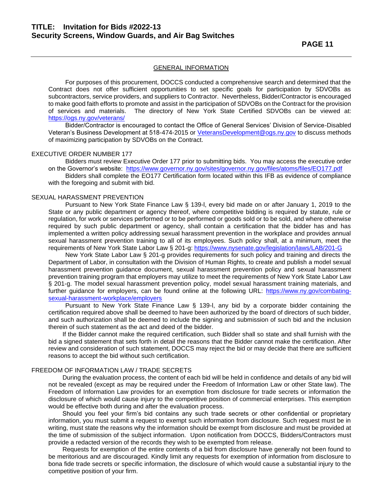For purposes of this procurement, DOCCS conducted a comprehensive search and determined that the Contract does not offer sufficient opportunities to set specific goals for participation by SDVOBs as subcontractors, service providers, and suppliers to Contractor. Nevertheless, Bidder/Contractor is encouraged to make good faith efforts to promote and assist in the participation of SDVOBs on the Contract for the provision of services and materials. The directory of New York State Certified SDVOBs can be viewed at: <https://ogs.ny.gov/veterans/>

Bidder/Contractor is encouraged to contact the Office of General Services' Division of Service-Disabled Veteran's Business Development at 518-474-2015 or [VeteransDevelopment@ogs.ny.gov](mailto:VeteransDevelopment@ogs.ny.gov) to discuss methods of maximizing participation by SDVOBs on the Contract.

#### EXECUTIVE ORDER NUMBER 177

Bidders must review Executive Order 177 prior to submitting bids. You may access the executive order on the Governor's website: <https://www.governor.ny.gov/sites/governor.ny.gov/files/atoms/files/EO177.pdf>

Bidders shall complete the EO177 Certification form located within this IFB as evidence of compliance with the foregoing and submit with bid.

#### SEXUAL HARASSMENT PREVENTION

Pursuant to New York State Finance Law § 139-l, every bid made on or after January 1, 2019 to the State or any public department or agency thereof, where competitive bidding is required by statute, rule or regulation, for work or services performed or to be performed or goods sold or to be sold, and where otherwise required by such public department or agency, shall contain a certification that the bidder has and has implemented a written policy addressing sexual harassment prevention in the workplace and provides annual sexual harassment prevention training to all of its employees. Such policy shall, at a minimum, meet the requirements of New York State Labor Law § 201-g:<https://www.nysenate.gov/legislation/laws/LAB/201-G>

New York State Labor Law § 201-g provides requirements for such policy and training and directs the Department of Labor, in consultation with the Division of Human Rights, to create and publish a model sexual harassment prevention guidance document, sexual harassment prevention policy and sexual harassment prevention training program that employers may utilize to meet the requirements of New York State Labor Law § 201-g. The model sexual harassment prevention policy, model sexual harassment training materials, and further guidance for employers, can be found online at the following URL: [https://www.ny.gov/combating](https://www.ny.gov/combating-sexual-harassment-workplace/employers)[sexual-harassment-workplace/employers](https://www.ny.gov/combating-sexual-harassment-workplace/employers)

Pursuant to New York State Finance Law § 139-l, any bid by a corporate bidder containing the certification required above shall be deemed to have been authorized by the board of directors of such bidder, and such authorization shall be deemed to include the signing and submission of such bid and the inclusion therein of such statement as the act and deed of the bidder.

If the Bidder cannot make the required certification, such Bidder shall so state and shall furnish with the bid a signed statement that sets forth in detail the reasons that the Bidder cannot make the certification. After review and consideration of such statement, DOCCS may reject the bid or may decide that there are sufficient reasons to accept the bid without such certification.

#### FREEDOM OF INFORMATION LAW / TRADE SECRETS

During the evaluation process, the content of each bid will be held in confidence and details of any bid will not be revealed (except as may be required under the Freedom of Information Law or other State law). The Freedom of Information Law provides for an exemption from disclosure for trade secrets or information the disclosure of which would cause injury to the competitive position of commercial enterprises. This exemption would be effective both during and after the evaluation process.

Should you feel your firm's bid contains any such trade secrets or other confidential or proprietary information, you must submit a request to exempt such information from disclosure. Such request must be in writing, must state the reasons why the information should be exempt from disclosure and must be provided at the time of submission of the subject information. Upon notification from DOCCS, Bidders/Contractors must provide a redacted version of the records they wish to be exempted from release.

Requests for exemption of the entire contents of a bid from disclosure have generally not been found to be meritorious and are discouraged. Kindly limit any requests for exemption of information from disclosure to bona fide trade secrets or specific information, the disclosure of which would cause a substantial injury to the competitive position of your firm.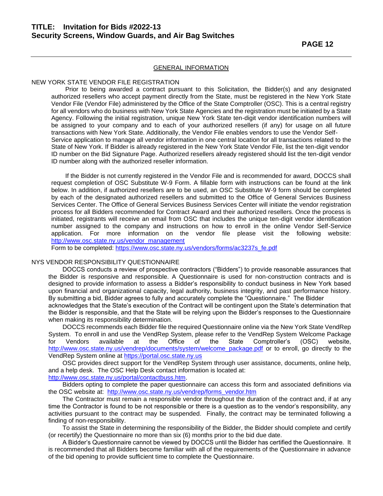#### NEW YORK STATE VENDOR FILE REGISTRATION

Prior to being awarded a contract pursuant to this Solicitation, the Bidder(s) and any designated authorized resellers who accept payment directly from the State, must be registered in the New York State Vendor File (Vendor File) administered by the Office of the State Comptroller (OSC). This is a central registry for all vendors who do business with New York State Agencies and the registration must be initiated by a State Agency. Following the initial registration, unique New York State ten-digit vendor identification numbers will be assigned to your company and to each of your authorized resellers (if any) for usage on all future transactions with New York State. Additionally, the Vendor File enables vendors to use the Vendor Self-Service application to manage all vendor information in one central location for all transactions related to the State of New York. If Bidder is already registered in the New York State Vendor File, list the ten-digit vendor ID number on the Bid Signature Page. Authorized resellers already registered should list the ten-digit vendor ID number along with the authorized reseller information.

If the Bidder is not currently registered in the Vendor File and is recommended for award, DOCCS shall request completion of OSC Substitute W-9 Form. A fillable form with instructions can be found at the link below. In addition, if authorized resellers are to be used, an OSC Substitute W-9 form should be completed by each of the designated authorized resellers and submitted to the Office of General Services Business Services Center. The Office of General Services Business Services Center will initiate the vendor registration process for all Bidders recommended for Contract Award and their authorized resellers. Once the process is initiated, registrants will receive an email from OSC that includes the unique ten-digit vendor identification number assigned to the company and instructions on how to enroll in the online Vendor Self-Service application. For more information on the vendor file please visit the following website: [http://www.osc.state.ny.us/vendor\\_management](http://www.osc.state.ny.us/vendor_management)

Form to be completed: [https://www.osc.state.ny.us/vendors/forms/ac3237s\\_fe.pdf](https://www.osc.state.ny.us/vendors/forms/ac3237s_fe.pdf)

#### NYS VENDOR RESPONSIBILITY QUESTIONNAIRE

DOCCS conducts a review of prospective contractors ("Bidders") to provide reasonable assurances that the Bidder is responsive and responsible. A Questionnaire is used for non-construction contracts and is designed to provide information to assess a Bidder's responsibility to conduct business in New York based upon financial and organizational capacity, legal authority, business integrity, and past performance history. By submitting a bid, Bidder agrees to fully and accurately complete the "Questionnaire." The Bidder

acknowledges that the State's execution of the Contract will be contingent upon the State's determination that the Bidder is responsible, and that the State will be relying upon the Bidder's responses to the Questionnaire when making its responsibility determination.

DOCCS recommends each Bidder file the required Questionnaire online via the New York State VendRep System. To enroll in and use the VendRep System, please refer to the VendRep System Welcome Package for Vendors available at the Office of the State Comptroller's (OSC) website, [http://www.osc.state.ny.us/vendrep/documents/system/welcome\\_package.pdf](http://www.osc.state.ny.us/vendrep/documents/system/welcome_package.pdf) or to enroll, go directly to the VendRep System online at [https://portal.osc.state.ny.us](https://portal.osc.state.ny.us/)

OSC provides direct support for the VendRep System through user assistance, documents, online help, and a help desk. The OSC Help Desk contact information is located at: [http://www.osc.state.ny.us/portal/contactbuss.htm.](http://www.osc.state.ny.us/portal/contactbuss.htm)

Bidders opting to complete the paper questionnaire can access this form and associated definitions via the OSC website at: [http://www.osc.state.ny.us/vendrep/forms\\_vendor.htm](http://www.osc.state.ny.us/vendrep/forms_vendor.htm)

The Contractor must remain a responsible vendor throughout the duration of the contract and, if at any time the Contractor is found to be not responsible or there is a question as to the vendor's responsibility, any activities pursuant to the contract may be suspended. Finally, the contract may be terminated following a finding of non-responsibility.

To assist the State in determining the responsibility of the Bidder, the Bidder should complete and certify (or recertify) the Questionnaire no more than six (6) months prior to the bid due date.

A Bidder's Questionnaire cannot be viewed by DOCCS until the Bidder has certified the Questionnaire. It is recommended that all Bidders become familiar with all of the requirements of the Questionnaire in advance of the bid opening to provide sufficient time to complete the Questionnaire.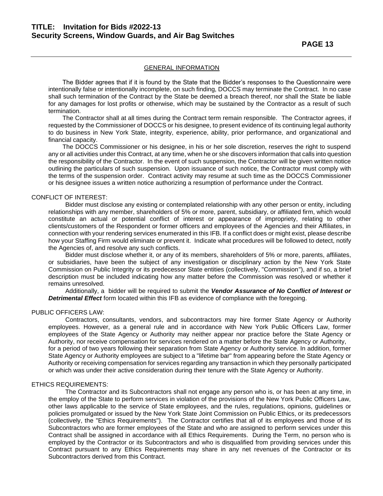The Bidder agrees that if it is found by the State that the Bidder's responses to the Questionnaire were intentionally false or intentionally incomplete, on such finding, DOCCS may terminate the Contract. In no case shall such termination of the Contract by the State be deemed a breach thereof, nor shall the State be liable for any damages for lost profits or otherwise, which may be sustained by the Contractor as a result of such termination.

The Contractor shall at all times during the Contract term remain responsible. The Contractor agrees, if requested by the Commissioner of DOCCS or his designee, to present evidence of its continuing legal authority to do business in New York State, integrity, experience, ability, prior performance, and organizational and financial capacity.

The DOCCS Commissioner or his designee, in his or her sole discretion, reserves the right to suspend any or all activities under this Contract, at any time, when he or she discovers information that calls into question the responsibility of the Contractor. In the event of such suspension, the Contractor will be given written notice outlining the particulars of such suspension. Upon issuance of such notice, the Contractor must comply with the terms of the suspension order. Contract activity may resume at such time as the DOCCS Commissioner or his designee issues a written notice authorizing a resumption of performance under the Contract.

#### CONFLICT OF INTEREST:

Bidder must disclose any existing or contemplated relationship with any other person or entity, including relationships with any member, shareholders of 5% or more, parent, subsidiary, or affiliated firm, which would constitute an actual or potential conflict of interest or appearance of impropriety, relating to other clients/customers of the Respondent or former officers and employees of the Agencies and their Affiliates, in connection with your rendering services enumerated in this IFB. If a conflict does or might exist, please describe how your Staffing Firm would eliminate or prevent it. Indicate what procedures will be followed to detect, notify the Agencies of, and resolve any such conflicts.

Bidder must disclose whether it, or any of its members, shareholders of 5% or more, parents, affiliates, or subsidiaries, have been the subject of any investigation or disciplinary action by the New York State Commission on Public Integrity or its predecessor State entities (collectively, "Commission"), and if so, a brief description must be included indicating how any matter before the Commission was resolved or whether it remains unresolved.

Additionally, a bidder will be required to submit the *Vendor Assurance of No Conflict of Interest or Detrimental Effect* form located within this IFB as evidence of compliance with the foregoing.

#### PUBLIC OFFICERS LAW:

Contractors, consultants, vendors, and subcontractors may hire former State Agency or Authority employees. However, as a general rule and in accordance with New York Public Officers Law, former employees of the State Agency or Authority may neither appear nor practice before the State Agency or Authority, nor receive compensation for services rendered on a matter before the State Agency or Authority, for a period of two years following their separation from State Agency or Authority service. In addition, former State Agency or Authority employees are subject to a "lifetime bar" from appearing before the State Agency or Authority or receiving compensation for services regarding any transaction in which they personally participated or which was under their active consideration during their tenure with the State Agency or Authority.

#### ETHICS REQUIREMENTS:

The Contractor and its Subcontractors shall not engage any person who is, or has been at any time, in the employ of the State to perform services in violation of the provisions of the New York Public Officers Law, other laws applicable to the service of State employees, and the rules, regulations, opinions, guidelines or policies promulgated or issued by the New York State Joint Commission on Public Ethics, or its predecessors (collectively, the "Ethics Requirements"). The Contractor certifies that all of its employees and those of its Subcontractors who are former employees of the State and who are assigned to perform services under this Contract shall be assigned in accordance with all Ethics Requirements. During the Term, no person who is employed by the Contractor or its Subcontractors and who is disqualified from providing services under this Contract pursuant to any Ethics Requirements may share in any net revenues of the Contractor or its Subcontractors derived from this Contract.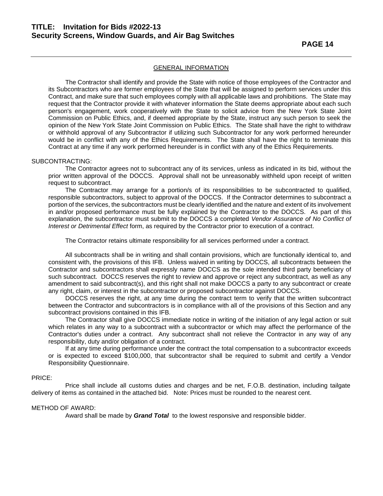The Contractor shall identify and provide the State with notice of those employees of the Contractor and its Subcontractors who are former employees of the State that will be assigned to perform services under this Contract, and make sure that such employees comply with all applicable laws and prohibitions. The State may request that the Contractor provide it with whatever information the State deems appropriate about each such person's engagement, work cooperatively with the State to solicit advice from the New York State Joint Commission on Public Ethics, and, if deemed appropriate by the State, instruct any such person to seek the opinion of the New York State Joint Commission on Public Ethics. The State shall have the right to withdraw or withhold approval of any Subcontractor if utilizing such Subcontractor for any work performed hereunder would be in conflict with any of the Ethics Requirements. The State shall have the right to terminate this Contract at any time if any work performed hereunder is in conflict with any of the Ethics Requirements.

#### SUBCONTRACTING:

The Contractor agrees not to subcontract any of its services, unless as indicated in its bid, without the prior written approval of the DOCCS. Approval shall not be unreasonably withheld upon receipt of written request to subcontract.

The Contractor may arrange for a portion/s of its responsibilities to be subcontracted to qualified, responsible subcontractors, subject to approval of the DOCCS. If the Contractor determines to subcontract a portion of the services, the subcontractors must be clearly identified and the nature and extent of its involvement in and/or proposed performance must be fully explained by the Contractor to the DOCCS. As part of this explanation, the subcontractor must submit to the DOCCS a completed *Vendor Assurance of No Conflict of Interest or Detrimental Effect* form, as required by the Contractor prior to execution of a contract.

The Contractor retains ultimate responsibility for all services performed under a contract.

All subcontracts shall be in writing and shall contain provisions, which are functionally identical to, and consistent with, the provisions of this IFB. Unless waived in writing by DOCCS, all subcontracts between the Contractor and subcontractors shall expressly name DOCCS as the sole intended third party beneficiary of such subcontract. DOCCS reserves the right to review and approve or reject any subcontract, as well as any amendment to said subcontract(s), and this right shall not make DOCCS a party to any subcontract or create any right, claim, or interest in the subcontractor or proposed subcontractor against DOCCS.

DOCCS reserves the right, at any time during the contract term to verify that the written subcontract between the Contractor and subcontractors is in compliance with all of the provisions of this Section and any subcontract provisions contained in this IFB.

The Contractor shall give DOCCS immediate notice in writing of the initiation of any legal action or suit which relates in any way to a subcontract with a subcontractor or which may affect the performance of the Contractor's duties under a contract. Any subcontract shall not relieve the Contractor in any way of any responsibility, duty and/or obligation of a contract.

If at any time during performance under the contract the total compensation to a subcontractor exceeds or is expected to exceed \$100,000, that subcontractor shall be required to submit and certify a Vendor Responsibility Questionnaire.

#### PRICE:

Price shall include all customs duties and charges and be net, F.O.B. destination, including tailgate delivery of items as contained in the attached bid. Note: Prices must be rounded to the nearest cent.

#### METHOD OF AWARD:

Award shall be made by *Grand Total* to the lowest responsive and responsible bidder.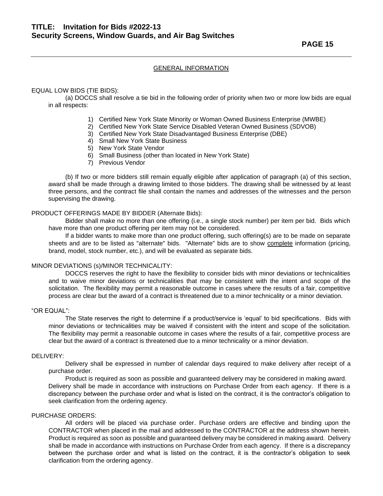**PAGE 15** 

#### GENERAL INFORMATION

#### EQUAL LOW BIDS (TIE BIDS):

(a) DOCCS shall resolve a tie bid in the following order of priority when two or more low bids are equal in all respects:

- 1) Certified New York State Minority or Woman Owned Business Enterprise (MWBE)
- 2) Certified New York State Service Disabled Veteran Owned Business (SDVOB)
- 3) Certified New York State Disadvantaged Business Enterprise (DBE)
- 4) Small New York State Business
- 5) New York State Vendor
- 6) Small Business (other than located in New York State)
- 7) Previous Vendor

(b) If two or more bidders still remain equally eligible after application of paragraph (a) of this section, award shall be made through a drawing limited to those bidders. The drawing shall be witnessed by at least three persons, and the contract file shall contain the names and addresses of the witnesses and the person supervising the drawing.

#### PRODUCT OFFERINGS MADE BY BIDDER (Alternate Bids):

Bidder shall make no more than one offering (i.e., a single stock number) per item per bid. Bids which have more than one product offering per item may not be considered.

If a bidder wants to make more than one product offering, such offering(s) are to be made on separate sheets and are to be listed as "alternate" bids. "Alternate" bids are to show complete information (pricing, brand, model, stock number, etc.), and will be evaluated as separate bids.

#### MINOR DEVIATIONS (s)/MINOR TECHNICALITY:

DOCCS reserves the right to have the flexibility to consider bids with minor deviations or technicalities and to waive minor deviations or technicalities that may be consistent with the intent and scope of the solicitation. The flexibility may permit a reasonable outcome in cases where the results of a fair, competitive process are clear but the award of a contract is threatened due to a minor technicality or a minor deviation.

#### "OR EQUAL":

The State reserves the right to determine if a product/service is 'equal' to bid specifications. Bids with minor deviations or technicalities may be waived if consistent with the intent and scope of the solicitation. The flexibility may permit a reasonable outcome in cases where the results of a fair, competitive process are clear but the award of a contract is threatened due to a minor technicality or a minor deviation.

#### DELIVERY:

Delivery shall be expressed in number of calendar days required to make delivery after receipt of a purchase order.

Product is required as soon as possible and guaranteed delivery may be considered in making award. Delivery shall be made in accordance with instructions on Purchase Order from each agency. If there is a discrepancy between the purchase order and what is listed on the contract, it is the contractor's obligation to seek clarification from the ordering agency.

#### PURCHASE ORDERS:

All orders will be placed via purchase order. Purchase orders are effective and binding upon the CONTRACTOR when placed in the mail and addressed to the CONTRACTOR at the address shown herein. Product is required as soon as possible and guaranteed delivery may be considered in making award. Delivery shall be made in accordance with instructions on Purchase Order from each agency. If there is a discrepancy between the purchase order and what is listed on the contract, it is the contractor's obligation to seek clarification from the ordering agency.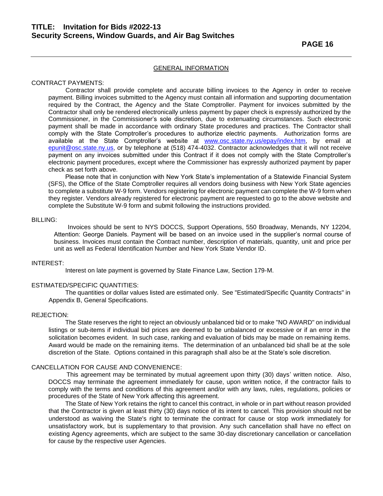#### CONTRACT PAYMENTS:

Contractor shall provide complete and accurate billing invoices to the Agency in order to receive payment. Billing invoices submitted to the Agency must contain all information and supporting documentation required by the Contract, the Agency and the State Comptroller. Payment for invoices submitted by the Contractor shall only be rendered electronically unless payment by paper check is expressly authorized by the Commissioner, in the Commissioner's sole discretion, due to extenuating circumstances. Such electronic payment shall be made in accordance with ordinary State procedures and practices. The Contractor shall comply with the State Comptroller's procedures to authorize electric payments. Authorization forms are available at the State Comptroller's website at [www.osc.state.ny.us/epay/index.htm,](http://www.osc.state.ny.us/epay/index.htm) by email at [epunit@osc.state.ny.us,](mailto:epunit@osc.state.ny.us) or by telephone at (518) 474-4032. Contractor acknowledges that it will not receive payment on any invoices submitted under this Contract if it does not comply with the State Comptroller's electronic payment procedures, except where the Commissioner has expressly authorized payment by paper check as set forth above.

Please note that in conjunction with New York State's implementation of a Statewide Financial System (SFS), the Office of the State Comptroller requires all vendors doing business with New York State agencies to complete a substitute W-9 form. Vendors registering for electronic payment can complete the W-9 form when they register. Vendors already registered for electronic payment are requested to go to the above website and complete the Substitute W-9 form and submit following the instructions provided.

#### BILLING:

 Invoices should be sent to NYS DOCCS, Support Operations, 550 Broadway, Menands, NY 12204, Attention: George Daniels. Payment will be based on an invoice used in the supplier's normal course of business. Invoices must contain the Contract number, description of materials, quantity, unit and price per unit as well as Federal Identification Number and New York State Vendor ID.

#### INTEREST:

Interest on late payment is governed by State Finance Law, Section 179-M.

#### ESTIMATED/SPECIFIC QUANTITIES:

The quantities or dollar values listed are estimated only. See "Estimated/Specific Quantity Contracts" in Appendix B, General Specifications.

#### REJECTION:

The State reserves the right to reject an obviously unbalanced bid or to make "NO AWARD" on individual listings or sub-items if individual bid prices are deemed to be unbalanced or excessive or if an error in the solicitation becomes evident. In such case, ranking and evaluation of bids may be made on remaining items. Award would be made on the remaining items. The determination of an unbalanced bid shall be at the sole discretion of the State. Options contained in this paragraph shall also be at the State's sole discretion.

#### CANCELLATION FOR CAUSE AND CONVENIENCE:

 This agreement may be terminated by mutual agreement upon thirty (30) days' written notice. Also, DOCCS may terminate the agreement immediately for cause, upon written notice, if the contractor fails to comply with the terms and conditions of this agreement and/or with any laws, rules, regulations, policies or procedures of the State of New York affecting this agreement.

The State of New York retains the right to cancel this contract, in whole or in part without reason provided that the Contractor is given at least thirty (30) days notice of its intent to cancel. This provision should not be understood as waiving the State's right to terminate the contract for cause or stop work immediately for unsatisfactory work, but is supplementary to that provision. Any such cancellation shall have no effect on existing Agency agreements, which are subject to the same 30-day discretionary cancellation or cancellation for cause by the respective user Agencies.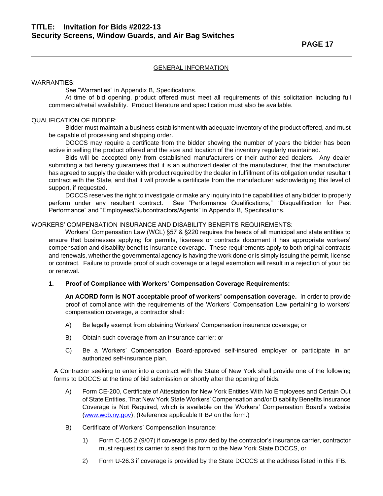#### WARRANTIES:

See "Warranties" in Appendix B, Specifications.

At time of bid opening, product offered must meet all requirements of this solicitation including full commercial/retail availability. Product literature and specification must also be available.

#### QUALIFICATION OF BIDDER:

Bidder must maintain a business establishment with adequate inventory of the product offered, and must be capable of processing and shipping order.

DOCCS may require a certificate from the bidder showing the number of years the bidder has been active in selling the product offered and the size and location of the inventory regularly maintained.

Bids will be accepted only from established manufacturers or their authorized dealers. Any dealer submitting a bid hereby guarantees that it is an authorized dealer of the manufacturer, that the manufacturer has agreed to supply the dealer with product required by the dealer in fulfillment of its obligation under resultant contract with the State, and that it will provide a certificate from the manufacturer acknowledging this level of support, if requested.

DOCCS reserves the right to investigate or make any inquiry into the capabilities of any bidder to properly perform under any resultant contract. See "Performance Qualifications," "Disqualification for Past Performance" and "Employees/Subcontractors/Agents" in Appendix B, Specifications.

#### WORKERS' COMPENSATION INSURANCE AND DISABILITY BENEFITS REQUIREMENTS:

Workers' Compensation Law (WCL) §57 & §220 requires the heads of all municipal and state entities to ensure that businesses applying for permits, licenses or contracts document it has appropriate workers' compensation and disability benefits insurance coverage. These requirements apply to both original contracts and renewals, whether the governmental agency is having the work done or is simply issuing the permit, license or contract. Failure to provide proof of such coverage or a legal exemption will result in a rejection of your bid or renewal.

#### **1. Proof of Compliance with Workers' Compensation Coverage Requirements:**

**An ACORD form is NOT acceptable proof of workers' compensation coverage.** In order to provide proof of compliance with the requirements of the Workers' Compensation Law pertaining to workers' compensation coverage, a contractor shall:

- A) Be legally exempt from obtaining Workers' Compensation insurance coverage; or
- B) Obtain such coverage from an insurance carrier; or
- C) Be a Workers' Compensation Board-approved self-insured employer or participate in an authorized self-insurance plan.

A Contractor seeking to enter into a contract with the State of New York shall provide one of the following forms to DOCCS at the time of bid submission or shortly after the opening of bids:

- A) Form CE-200, Certificate of Attestation for New York Entities With No Employees and Certain Out of State Entities, That New York State Workers' Compensation and/or Disability Benefits Insurance Coverage is Not Required, which is available on the Workers' Compensation Board's website [\(www.wcb.ny.gov\)](http://www.wcb.ny.gov/); (Reference applicable IFB# on the form.)
- B) Certificate of Workers' Compensation Insurance:
	- 1) Form C-105.2 (9/07) if coverage is provided by the contractor's insurance carrier, contractor must request its carrier to send this form to the New York State DOCCS, or
	- 2) Form U-26.3 if coverage is provided by the State DOCCS at the address listed in this IFB.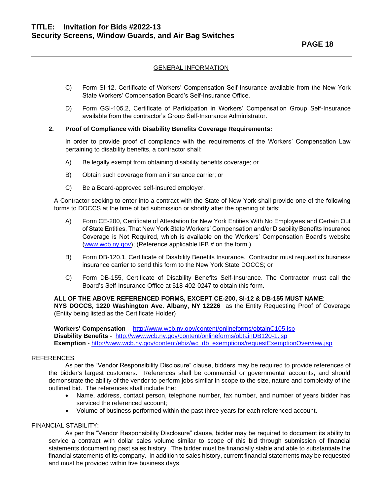- C) Form SI-12, Certificate of Workers' Compensation Self-Insurance available from the New York State Workers' Compensation Board's Self-Insurance Office.
- D) Form GSI-105.2, Certificate of Participation in Workers' Compensation Group Self-Insurance available from the contractor's Group Self-Insurance Administrator.

#### **2. Proof of Compliance with Disability Benefits Coverage Requirements:**

In order to provide proof of compliance with the requirements of the Workers' Compensation Law pertaining to disability benefits, a contractor shall:

- A) Be legally exempt from obtaining disability benefits coverage; or
- B) Obtain such coverage from an insurance carrier; or
- C) Be a Board-approved self-insured employer.

A Contractor seeking to enter into a contract with the State of New York shall provide one of the following forms to DOCCS at the time of bid submission or shortly after the opening of bids:

- A) Form CE-200, Certificate of Attestation for New York Entities With No Employees and Certain Out of State Entities, That New York State Workers' Compensation and/or Disability Benefits Insurance Coverage is Not Required, which is available on the Workers' Compensation Board's website [\(www.wcb.ny.gov\)](http://www.wcb.ny.gov/); (Reference applicable IFB # on the form.)
- B) Form DB-120.1, Certificate of Disability Benefits Insurance. Contractor must request its business insurance carrier to send this form to the New York State DOCCS; or
- C) Form DB-155, Certificate of Disability Benefits Self-Insurance. The Contractor must call the Board's Self-Insurance Office at 518-402-0247 to obtain this form.

### **ALL OF THE ABOVE REFERENCED FORMS, EXCEPT CE-200, SI-12 & DB-155 MUST NAME**:

**NYS DOCCS, 1220 Washington Ave. Albany, NY 12226** as the Entity Requesting Proof of Coverage (Entity being listed as the Certificate Holder)

**Workers' Compensation** - <http://www.wcb.ny.gov/content/onlineforms/obtainC105.jsp> **Disability Benefits** - <http://www.wcb.ny.gov/content/onlineforms/obtainDB120-1.jsp> **Exemption** - [http://www.wcb.ny.gov/content/ebiz/wc\\_db\\_exemptions/requestExemptionOverview.jsp](http://www.wcb.ny.gov/content/ebiz/wc_db_exemptions/requestExemptionOverview.jsp)

#### REFERENCES:

As per the "Vendor Responsibility Disclosure" clause, bidders may be required to provide references of the bidder's largest customers. References shall be commercial or governmental accounts, and should demonstrate the ability of the vendor to perform jobs similar in scope to the size, nature and complexity of the outlined bid. The references shall include the:

- Name, address, contact person, telephone number, fax number, and number of years bidder has serviced the referenced account;
- Volume of business performed within the past three years for each referenced account.

#### FINANCIAL STABILITY:

As per the "Vendor Responsibility Disclosure" clause, bidder may be required to document its ability to service a contract with dollar sales volume similar to scope of this bid through submission of financial statements documenting past sales history. The bidder must be financially stable and able to substantiate the financial statements of its company. In addition to sales history, current financial statements may be requested and must be provided within five business days.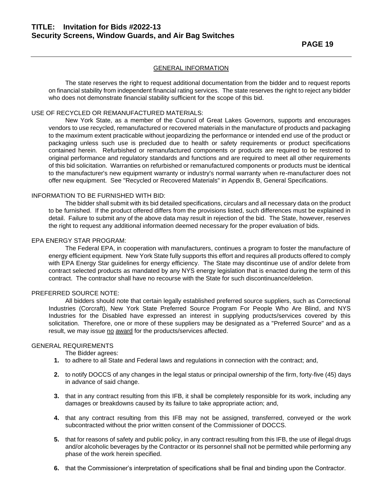The state reserves the right to request additional documentation from the bidder and to request reports on financial stability from independent financial rating services. The state reserves the right to reject any bidder who does not demonstrate financial stability sufficient for the scope of this bid.

#### USE OF RECYCLED OR REMANUFACTURED MATERIALS:

New York State, as a member of the Council of Great Lakes Governors, supports and encourages vendors to use recycled, remanufactured or recovered materials in the manufacture of products and packaging to the maximum extent practicable without jeopardizing the performance or intended end use of the product or packaging unless such use is precluded due to health or safety requirements or product specifications contained herein. Refurbished or remanufactured components or products are required to be restored to original performance and regulatory standards and functions and are required to meet all other requirements of this bid solicitation. Warranties on refurbished or remanufactured components or products must be identical to the manufacturer's new equipment warranty or industry's normal warranty when re-manufacturer does not offer new equipment. See "Recycled or Recovered Materials" in Appendix B, General Specifications.

#### INFORMATION TO BE FURNISHED WITH BID:

The bidder shall submit with its bid detailed specifications, circulars and all necessary data on the product to be furnished. If the product offered differs from the provisions listed, such differences must be explained in detail. Failure to submit any of the above data may result in rejection of the bid. The State, however, reserves the right to request any additional information deemed necessary for the proper evaluation of bids.

#### EPA ENERGY STAR PROGRAM:

The Federal EPA, in cooperation with manufacturers, continues a program to foster the manufacture of energy efficient equipment. New York State fully supports this effort and requires all products offered to comply with EPA Energy Star guidelines for energy efficiency. The State may discontinue use of and/or delete from contract selected products as mandated by any NYS energy legislation that is enacted during the term of this contract. The contractor shall have no recourse with the State for such discontinuance/deletion.

#### PREFERRED SOURCE NOTE:

All bidders should note that certain legally established preferred source suppliers, such as Correctional Industries (Corcraft), New York State Preferred Source Program For People Who Are Blind, and NYS Industries for the Disabled have expressed an interest in supplying products/services covered by this solicitation. Therefore, one or more of these suppliers may be designated as a "Preferred Source" and as a result, we may issue no award for the products/services affected.

#### GENERAL REQUIREMENTS

The Bidder agrees:

- **1.** to adhere to all State and Federal laws and regulations in connection with the contract; and,
- **2.** to notify DOCCS of any changes in the legal status or principal ownership of the firm, forty-five (45) days in advance of said change.
- **3.** that in any contract resulting from this IFB, it shall be completely responsible for its work, including any damages or breakdowns caused by its failure to take appropriate action; and,
- **4.** that any contract resulting from this IFB may not be assigned, transferred, conveyed or the work subcontracted without the prior written consent of the Commissioner of DOCCS.
- **5.** that for reasons of safety and public policy, in any contract resulting from this IFB, the use of illegal drugs and/or alcoholic beverages by the Contractor or its personnel shall not be permitted while performing any phase of the work herein specified.
- **6.** that the Commissioner's interpretation of specifications shall be final and binding upon the Contractor.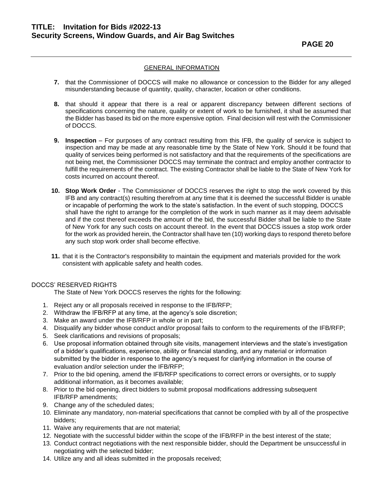- **7.** that the Commissioner of DOCCS will make no allowance or concession to the Bidder for any alleged misunderstanding because of quantity, quality, character, location or other conditions.
- **8.** that should it appear that there is a real or apparent discrepancy between different sections of specifications concerning the nature, quality or extent of work to be furnished, it shall be assumed that the Bidder has based its bid on the more expensive option. Final decision will rest with the Commissioner of DOCCS.
- **9. Inspection** For purposes of any contract resulting from this IFB, the quality of service is subject to inspection and may be made at any reasonable time by the State of New York. Should it be found that quality of services being performed is not satisfactory and that the requirements of the specifications are not being met, the Commissioner DOCCS may terminate the contract and employ another contractor to fulfill the requirements of the contract. The existing Contractor shall be liable to the State of New York for costs incurred on account thereof.
- **10. Stop Work Order** The Commissioner of DOCCS reserves the right to stop the work covered by this IFB and any contract(s) resulting therefrom at any time that it is deemed the successful Bidder is unable or incapable of performing the work to the state's satisfaction. In the event of such stopping, DOCCS shall have the right to arrange for the completion of the work in such manner as it may deem advisable and if the cost thereof exceeds the amount of the bid, the successful Bidder shall be liable to the State of New York for any such costs on account thereof. In the event that DOCCS issues a stop work order for the work as provided herein, the Contractor shall have ten (10) working days to respond thereto before any such stop work order shall become effective.
- **11.** that it is the Contractor's responsibility to maintain the equipment and materials provided for the work consistent with applicable safety and health codes.

#### DOCCS' RESERVED RIGHTS

The State of New York DOCCS reserves the rights for the following:

- 1. Reject any or all proposals received in response to the IFB/RFP;
- 2. Withdraw the IFB/RFP at any time, at the agency's sole discretion;
- 3. Make an award under the IFB/RFP in whole or in part;
- 4. Disqualify any bidder whose conduct and/or proposal fails to conform to the requirements of the IFB/RFP;
- 5. Seek clarifications and revisions of proposals;
- 6. Use proposal information obtained through site visits, management interviews and the state's investigation of a bidder's qualifications, experience, ability or financial standing, and any material or information submitted by the bidder in response to the agency's request for clarifying information in the course of evaluation and/or selection under the IFB/RFP;
- 7. Prior to the bid opening, amend the IFB/RFP specifications to correct errors or oversights, or to supply additional information, as it becomes available;
- 8. Prior to the bid opening, direct bidders to submit proposal modifications addressing subsequent IFB/RFP amendments;
- 9. Change any of the scheduled dates;
- 10. Eliminate any mandatory, non-material specifications that cannot be complied with by all of the prospective bidders;
- 11. Waive any requirements that are not material;
- 12. Negotiate with the successful bidder within the scope of the IFB/RFP in the best interest of the state;
- 13. Conduct contract negotiations with the next responsible bidder, should the Department be unsuccessful in negotiating with the selected bidder;
- 14. Utilize any and all ideas submitted in the proposals received;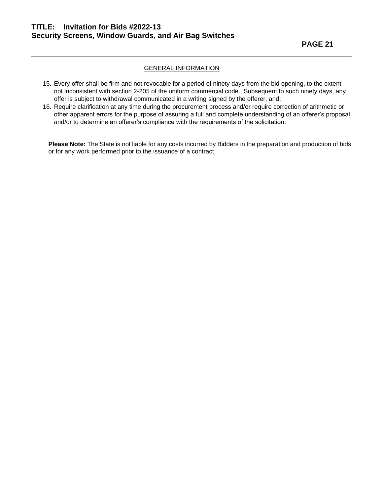- 15. Every offer shall be firm and not revocable for a period of ninety days from the bid opening, to the extent not inconsistent with section 2-205 of the uniform commercial code. Subsequent to such ninety days, any offer is subject to withdrawal communicated in a writing signed by the offerer, and;
- 16. Require clarification at any time during the procurement process and/or require correction of arithmetic or other apparent errors for the purpose of assuring a full and complete understanding of an offerer's proposal and/or to determine an offerer's compliance with the requirements of the solicitation.

**Please Note:** The State is not liable for any costs incurred by Bidders in the preparation and production of bids or for any work performed prior to the issuance of a contract.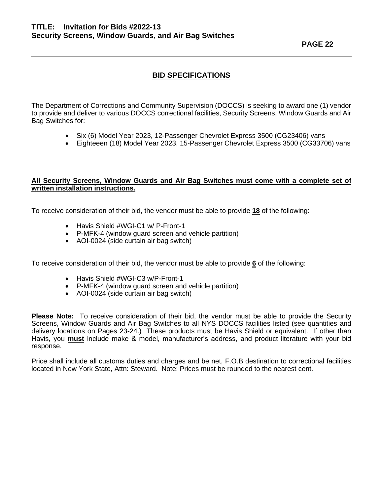**PAGE 22** 

### **BID SPECIFICATIONS**

The Department of Corrections and Community Supervision (DOCCS) is seeking to award one (1) vendor to provide and deliver to various DOCCS correctional facilities, Security Screens, Window Guards and Air Bag Switches for:

- Six (6) Model Year 2023, 12-Passenger Chevrolet Express 3500 (CG23406) vans
- Eighteeen (18) Model Year 2023, 15-Passenger Chevrolet Express 3500 (CG33706) vans

#### **All Security Screens, Window Guards and Air Bag Switches must come with a complete set of written installation instructions.**

To receive consideration of their bid, the vendor must be able to provide **18** of the following:

- Havis Shield #WGI-C1 w/ P-Front-1
- P-MFK-4 (window guard screen and vehicle partition)
- AOI-0024 (side curtain air bag switch)

To receive consideration of their bid, the vendor must be able to provide **6** of the following:

- Havis Shield #WGI-C3 w/P-Front-1
- P-MFK-4 (window guard screen and vehicle partition)
- AOI-0024 (side curtain air bag switch)

**Please Note:** To receive consideration of their bid, the vendor must be able to provide the Security Screens, Window Guards and Air Bag Switches to all NYS DOCCS facilities listed (see quantities and delivery locations on Pages 23-24.) These products must be Havis Shield or equivalent. If other than Havis, you **must** include make & model, manufacturer's address, and product literature with your bid response.

Price shall include all customs duties and charges and be net, F.O.B destination to correctional facilities located in New York State, Attn: Steward. Note: Prices must be rounded to the nearest cent.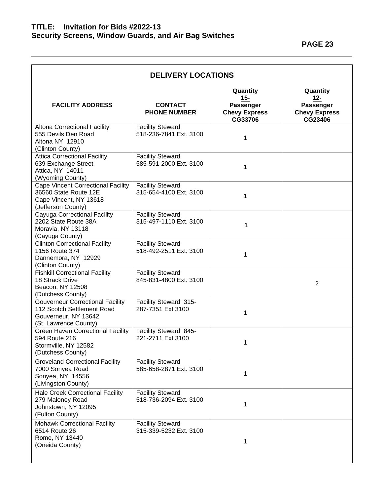| <b>DELIVERY LOCATIONS</b>                                                                                              |                                                   |                                                                        |                                                                        |  |
|------------------------------------------------------------------------------------------------------------------------|---------------------------------------------------|------------------------------------------------------------------------|------------------------------------------------------------------------|--|
| <b>FACILITY ADDRESS</b>                                                                                                | <b>CONTACT</b><br><b>PHONE NUMBER</b>             | Quantity<br><u>15-</u><br>Passenger<br><b>Chevy Express</b><br>CG33706 | Quantity<br><u>12-</u><br>Passenger<br><b>Chevy Express</b><br>CG23406 |  |
| <b>Altona Correctional Facility</b><br>555 Devils Den Road<br>Altona NY 12910<br>(Clinton County)                      | <b>Facility Steward</b><br>518-236-7841 Ext. 3100 | 1                                                                      |                                                                        |  |
| <b>Attica Correctional Facility</b><br>639 Exchange Street<br>Attica, NY 14011<br>(Wyoming County)                     | <b>Facility Steward</b><br>585-591-2000 Ext. 3100 | 1                                                                      |                                                                        |  |
| <b>Cape Vincent Correctional Facility</b><br>36560 State Route 12E<br>Cape Vincent, NY 13618<br>(Jefferson County)     | <b>Facility Steward</b><br>315-654-4100 Ext. 3100 | 1                                                                      |                                                                        |  |
| Cayuga Correctional Facility<br>2202 State Route 38A<br>Moravia, NY 13118<br>(Cayuga County)                           | <b>Facility Steward</b><br>315-497-1110 Ext. 3100 | 1                                                                      |                                                                        |  |
| <b>Clinton Correctional Facility</b><br>1156 Route 374<br>Dannemora, NY 12929<br>(Clinton County)                      | <b>Facility Steward</b><br>518-492-2511 Ext. 3100 | 1                                                                      |                                                                        |  |
| <b>Fishkill Correctional Facility</b><br>18 Strack Drive<br>Beacon, NY 12508<br>(Dutchess County)                      | <b>Facility Steward</b><br>845-831-4800 Ext. 3100 |                                                                        | $\overline{2}$                                                         |  |
| <b>Gouverneur Correctional Facility</b><br>112 Scotch Settlement Road<br>Gouverneur, NY 13642<br>(St. Lawrence County) | Facility Steward 315-<br>287-7351 Ext 3100        | 1                                                                      |                                                                        |  |
| <b>Green Haven Correctional Facility</b><br>594 Route 216<br>Stormville, NY 12582<br>(Dutchess County)                 | Facility Steward 845-<br>221-2711 Ext 3100        | 1                                                                      |                                                                        |  |
| <b>Groveland Correctional Facility</b><br>7000 Sonyea Road<br>Sonyea, NY 14556<br>(Livingston County)                  | <b>Facility Steward</b><br>585-658-2871 Ext. 3100 | 1                                                                      |                                                                        |  |
| <b>Hale Creek Correctional Facility</b><br>279 Maloney Road<br>Johnstown, NY 12095<br>(Fulton County)                  | <b>Facility Steward</b><br>518-736-2094 Ext. 3100 | 1                                                                      |                                                                        |  |
| <b>Mohawk Correctional Facility</b><br>6514 Route 26<br>Rome, NY 13440<br>(Oneida County)                              | <b>Facility Steward</b><br>315-339-5232 Ext. 3100 | 1                                                                      |                                                                        |  |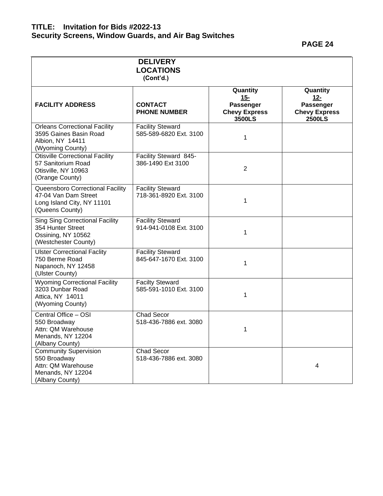**PAGE 24** 

|                                                                                                            | <b>DELIVERY</b><br><b>LOCATIONS</b><br>(Cont'd.)  |                                                                   |                                                                   |
|------------------------------------------------------------------------------------------------------------|---------------------------------------------------|-------------------------------------------------------------------|-------------------------------------------------------------------|
| <b>FACILITY ADDRESS</b>                                                                                    | <b>CONTACT</b><br><b>PHONE NUMBER</b>             | Quantity<br>$15 -$<br>Passenger<br><b>Chevy Express</b><br>3500LS | Quantity<br>$12 -$<br>Passenger<br><b>Chevy Express</b><br>2500LS |
| <b>Orleans Correctional Facility</b><br>3595 Gaines Basin Road<br>Albion, NY 14411<br>(Wyoming County)     | <b>Facility Steward</b><br>585-589-6820 Ext. 3100 | 1                                                                 |                                                                   |
| <b>Otisville Correctional Facility</b><br>57 Sanitorium Road<br>Otisville, NY 10963<br>(Orange County)     | Facility Steward 845-<br>386-1490 Ext 3100        | $\overline{2}$                                                    |                                                                   |
| Queensboro Correctional Facility<br>47-04 Van Dam Street<br>Long Island City, NY 11101<br>(Queens County)  | <b>Facility Steward</b><br>718-361-8920 Ext. 3100 | $\mathbf{1}$                                                      |                                                                   |
| <b>Sing Sing Correctional Facility</b><br>354 Hunter Street<br>Ossining, NY 10562<br>(Westchester County)  | <b>Facility Steward</b><br>914-941-0108 Ext. 3100 | 1                                                                 |                                                                   |
| <b>Ulster Correctional Faclity</b><br>750 Berme Road<br>Napanoch, NY 12458<br>(Ulster County)              | <b>Facility Steward</b><br>845-647-1670 Ext. 3100 | $\mathbf{1}$                                                      |                                                                   |
| <b>Wyoming Correctional Facility</b><br>3203 Dunbar Road<br>Attica, NY 14011<br>(Wyoming County)           | <b>Facilty Steward</b><br>585-591-1010 Ext. 3100  | 1                                                                 |                                                                   |
| Central Office - OSI<br>550 Broadway<br>Attn: QM Warehouse<br>Menands, NY 12204<br>(Albany County)         | <b>Chad Secor</b><br>518-436-7886 ext. 3080       | 1                                                                 |                                                                   |
| <b>Community Supervision</b><br>550 Broadway<br>Attn: QM Warehouse<br>Menands, NY 12204<br>(Albany County) | <b>Chad Secor</b><br>518-436-7886 ext. 3080       |                                                                   | 4                                                                 |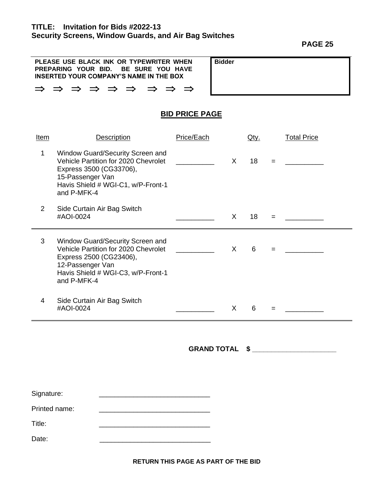**PAGE 25** 

| PLEASE USE BLACK INK OR TYPEWRITER WHEN<br>PREPARING YOUR BID. BE SURE YOU HAVE<br>INSERTED YOUR COMPANY'S NAME IN THE BOX | <b>Bidder</b> |
|----------------------------------------------------------------------------------------------------------------------------|---------------|
| $\Rightarrow$ $\Rightarrow$ $\Rightarrow$ $\Rightarrow$ $\Rightarrow$ $\Rightarrow$ $\Rightarrow$                          |               |

### **BID PRICE PAGE**

| <u>Item</u>    | <b>Description</b>                                                                                                                                                           | Price/Each |    | <u>Qty.</u> |     | <b>Total Price</b> |
|----------------|------------------------------------------------------------------------------------------------------------------------------------------------------------------------------|------------|----|-------------|-----|--------------------|
| 1              | Window Guard/Security Screen and<br>Vehicle Partition for 2020 Chevrolet<br>Express 3500 (CG33706),<br>15-Passenger Van<br>Havis Shield # WGI-C1, w/P-Front-1<br>and P-MFK-4 |            | X. | 18          | $=$ |                    |
| $\overline{2}$ | Side Curtain Air Bag Switch<br>#AOI-0024                                                                                                                                     |            | X  | 18          | $=$ |                    |
| 3              | Window Guard/Security Screen and<br>Vehicle Partition for 2020 Chevrolet<br>Express 2500 (CG23406),<br>12-Passenger Van<br>Havis Shield # WGI-C3, w/P-Front-1<br>and P-MFK-4 |            | X  | 6           | $=$ |                    |
| 4              | Side Curtain Air Bag Switch<br>#AOI-0024                                                                                                                                     |            | X  | 6           | =   |                    |

**GRAND TOTAL \$ \_\_\_\_\_\_\_\_\_\_\_\_\_\_\_\_\_\_\_\_\_\_**

| Signature: |  |
|------------|--|
|            |  |

Printed name: \_\_\_\_\_\_\_\_\_\_\_\_\_\_\_\_\_\_\_\_\_\_\_\_\_\_\_\_\_

Title:  $\qquad \qquad \qquad \qquad$ 

Date: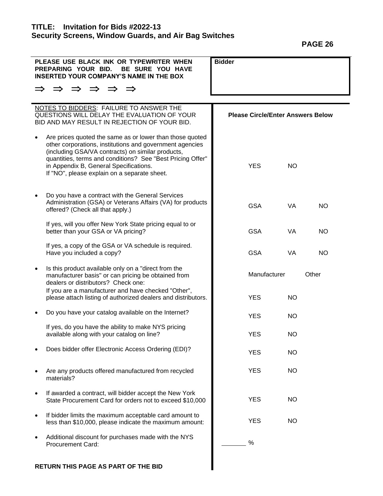**PAGE 26** 

| PLEASE USE BLACK INK OR TYPEWRITER WHEN<br>PREPARING YOUR BID.<br>BE SURE YOU HAVE<br><b>INSERTED YOUR COMPANY'S NAME IN THE BOX</b>                                                                                                                                                                                              | <b>Bidder</b> |                                          |  |  |  |
|-----------------------------------------------------------------------------------------------------------------------------------------------------------------------------------------------------------------------------------------------------------------------------------------------------------------------------------|---------------|------------------------------------------|--|--|--|
| $\Rightarrow$ $\Rightarrow$ $\Rightarrow$ $\Rightarrow$<br>$\Rightarrow$                                                                                                                                                                                                                                                          |               |                                          |  |  |  |
| NOTES TO BIDDERS: FAILURE TO ANSWER THE<br>QUESTIONS WILL DELAY THE EVALUATION OF YOUR<br>BID AND MAY RESULT IN REJECTION OF YOUR BID.                                                                                                                                                                                            |               | <b>Please Circle/Enter Answers Below</b> |  |  |  |
| Are prices quoted the same as or lower than those quoted<br>other corporations, institutions and government agencies<br>(including GSA/VA contracts) on similar products,<br>quantities, terms and conditions? See "Best Pricing Offer"<br>in Appendix B, General Specifications.<br>If "NO", please explain on a separate sheet. | <b>YES</b>    | NO.                                      |  |  |  |
| Do you have a contract with the General Services<br>Administration (GSA) or Veterans Affairs (VA) for products<br>offered? (Check all that apply.)                                                                                                                                                                                | <b>GSA</b>    | VA<br>NO.                                |  |  |  |
| If yes, will you offer New York State pricing equal to or<br>better than your GSA or VA pricing?                                                                                                                                                                                                                                  | <b>GSA</b>    | VA<br>NO.                                |  |  |  |
| If yes, a copy of the GSA or VA schedule is required.<br>Have you included a copy?                                                                                                                                                                                                                                                | <b>GSA</b>    | VA<br>NO.                                |  |  |  |
| Is this product available only on a "direct from the<br>$\bullet$<br>manufacturer basis" or can pricing be obtained from<br>dealers or distributors? Check one:                                                                                                                                                                   | Manufacturer  | Other                                    |  |  |  |
| If you are a manufacturer and have checked "Other",<br>please attach listing of authorized dealers and distributors.                                                                                                                                                                                                              | <b>YES</b>    | NO.                                      |  |  |  |
| Do you have your catalog available on the Internet?                                                                                                                                                                                                                                                                               | <b>YES</b>    | NO.                                      |  |  |  |
| If yes, do you have the ability to make NYS pricing<br>available along with your catalog on line?                                                                                                                                                                                                                                 | <b>YES</b>    | <b>NO</b>                                |  |  |  |
| Does bidder offer Electronic Access Ordering (EDI)?                                                                                                                                                                                                                                                                               | <b>YES</b>    | <b>NO</b>                                |  |  |  |
| Are any products offered manufactured from recycled<br>materials?                                                                                                                                                                                                                                                                 | <b>YES</b>    | NO.                                      |  |  |  |
| If awarded a contract, will bidder accept the New York<br>State Procurement Card for orders not to exceed \$10,000                                                                                                                                                                                                                | <b>YES</b>    | NO.                                      |  |  |  |
| If bidder limits the maximum acceptable card amount to<br>٠<br>less than \$10,000, please indicate the maximum amount:                                                                                                                                                                                                            | <b>YES</b>    | NO.                                      |  |  |  |
| Additional discount for purchases made with the NYS<br><b>Procurement Card:</b>                                                                                                                                                                                                                                                   | %             |                                          |  |  |  |
| RETURN THIS PAGE AS PART OF THE BID                                                                                                                                                                                                                                                                                               |               |                                          |  |  |  |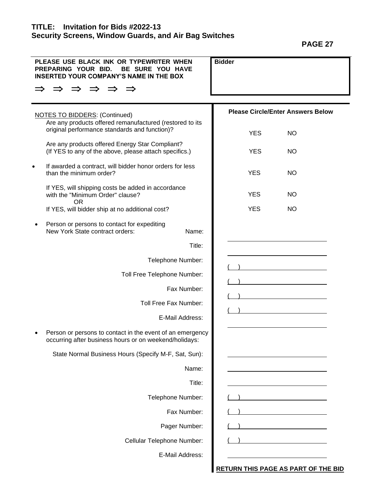**PAGE 27** 

| PLEASE USE BLACK INK OR TYPEWRITER WHEN<br>PREPARING YOUR BID.<br>BE SURE YOU HAVE<br><b>INSERTED YOUR COMPANY'S NAME IN THE BOX</b> | <b>Bidder</b>                            |           |
|--------------------------------------------------------------------------------------------------------------------------------------|------------------------------------------|-----------|
| $\Rightarrow$<br>$\Rightarrow$<br>$\Rightarrow$<br>$\Rightarrow$                                                                     |                                          |           |
| <b>NOTES TO BIDDERS: (Continued)</b><br>Are any products offered remanufactured (restored to its                                     | <b>Please Circle/Enter Answers Below</b> |           |
| original performance standards and function)?                                                                                        | <b>YES</b>                               | <b>NO</b> |
| Are any products offered Energy Star Compliant?<br>(If YES to any of the above, please attach specifics.)                            | <b>YES</b>                               | <b>NO</b> |
| If awarded a contract, will bidder honor orders for less<br>than the minimum order?                                                  | <b>YES</b>                               | <b>NO</b> |
| If YES, will shipping costs be added in accordance<br>with the "Minimum Order" clause?<br><b>OR</b>                                  | <b>YES</b>                               | <b>NO</b> |
| If YES, will bidder ship at no additional cost?                                                                                      | <b>YES</b>                               | <b>NO</b> |
| Person or persons to contact for expediting<br>New York State contract orders:<br>Name:                                              |                                          |           |
| Title:                                                                                                                               |                                          |           |
| Telephone Number:                                                                                                                    |                                          |           |
| Toll Free Telephone Number:                                                                                                          |                                          |           |
| Fax Number:                                                                                                                          |                                          |           |
| Toll Free Fax Number:                                                                                                                |                                          |           |
| E-Mail Address:                                                                                                                      |                                          |           |
| Person or persons to contact in the event of an emergency<br>occurring after business hours or on weekend/holidays:                  |                                          |           |
| State Normal Business Hours (Specify M-F, Sat, Sun):                                                                                 |                                          |           |
| Name:                                                                                                                                |                                          |           |
| Title:                                                                                                                               |                                          |           |
| Telephone Number:                                                                                                                    |                                          |           |
| Fax Number:                                                                                                                          |                                          |           |
| Pager Number:                                                                                                                        |                                          |           |
| Cellular Telephone Number:                                                                                                           |                                          |           |
| E-Mail Address:                                                                                                                      |                                          |           |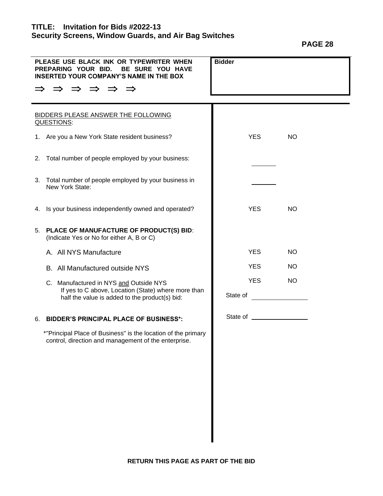| <b>PAGL</b> | D |
|-------------|---|
|             |   |

| PLEASE USE BLACK INK OR TYPEWRITER WHEN<br>PREPARING YOUR BID.<br>BE SURE YOU HAVE<br><b>INSERTED YOUR COMPANY'S NAME IN THE BOX</b><br>$\Rightarrow$ $\Rightarrow$ $\Rightarrow$ $\Rightarrow$<br>$\Rightarrow$ | <b>Bidder</b>           |
|------------------------------------------------------------------------------------------------------------------------------------------------------------------------------------------------------------------|-------------------------|
| BIDDERS PLEASE ANSWER THE FOLLOWING<br>QUESTIONS:                                                                                                                                                                |                         |
| 1. Are you a New York State resident business?                                                                                                                                                                   | <b>YES</b><br><b>NO</b> |
| Total number of people employed by your business:<br>2.                                                                                                                                                          |                         |
| Total number of people employed by your business in<br>3.<br>New York State:                                                                                                                                     |                         |
| Is your business independently owned and operated?<br>4.                                                                                                                                                         | <b>YES</b><br><b>NO</b> |
| 5. PLACE OF MANUFACTURE OF PRODUCT(S) BID:<br>(Indicate Yes or No for either A, B or C)                                                                                                                          |                         |
| A. All NYS Manufacture                                                                                                                                                                                           | <b>YES</b><br><b>NO</b> |
| B. All Manufactured outside NYS                                                                                                                                                                                  | <b>YES</b><br><b>NO</b> |
| C. Manufactured in NYS and Outside NYS                                                                                                                                                                           | <b>YES</b><br><b>NO</b> |
| If yes to C above, Location (State) where more than<br>half the value is added to the product(s) bid:                                                                                                            | State of                |
| <b>BIDDER'S PRINCIPAL PLACE OF BUSINESS*:</b><br>6.                                                                                                                                                              |                         |
| *"Principal Place of Business" is the location of the primary<br>control, direction and management of the enterprise.                                                                                            |                         |
|                                                                                                                                                                                                                  |                         |
|                                                                                                                                                                                                                  |                         |
|                                                                                                                                                                                                                  |                         |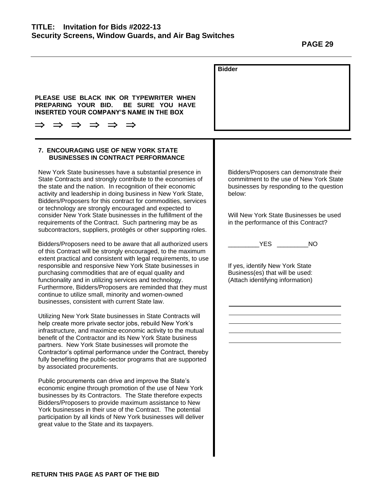| PLEASE USE BLACK INK OR TYPEWRITER WHEN<br>PREPARING YOUR BID.<br>BE SURE YOU HAVE                                                                                                                                                                                                                                                                                                                                                                                                                                                                   | <b>Bidder</b>                                                                                                                            |
|------------------------------------------------------------------------------------------------------------------------------------------------------------------------------------------------------------------------------------------------------------------------------------------------------------------------------------------------------------------------------------------------------------------------------------------------------------------------------------------------------------------------------------------------------|------------------------------------------------------------------------------------------------------------------------------------------|
| <b>INSERTED YOUR COMPANY'S NAME IN THE BOX</b>                                                                                                                                                                                                                                                                                                                                                                                                                                                                                                       |                                                                                                                                          |
|                                                                                                                                                                                                                                                                                                                                                                                                                                                                                                                                                      |                                                                                                                                          |
|                                                                                                                                                                                                                                                                                                                                                                                                                                                                                                                                                      |                                                                                                                                          |
| <b>7. ENCOURAGING USE OF NEW YORK STATE</b><br><b>BUSINESSES IN CONTRACT PERFORMANCE</b>                                                                                                                                                                                                                                                                                                                                                                                                                                                             |                                                                                                                                          |
| New York State businesses have a substantial presence in<br>State Contracts and strongly contribute to the economies of<br>the state and the nation. In recognition of their economic<br>activity and leadership in doing business in New York State,<br>Bidders/Proposers for this contract for commodities, services<br>or technology are strongly encouraged and expected to                                                                                                                                                                      | Bidders/Proposers can demonstrate their<br>commitment to the use of New York State<br>businesses by responding to the question<br>below: |
| consider New York State businesses in the fulfillment of the<br>requirements of the Contract. Such partnering may be as<br>subcontractors, suppliers, protégés or other supporting roles.                                                                                                                                                                                                                                                                                                                                                            | Will New York State Businesses be used<br>in the performance of this Contract?                                                           |
| Bidders/Proposers need to be aware that all authorized users<br>of this Contract will be strongly encouraged, to the maximum<br>extent practical and consistent with legal requirements, to use<br>responsible and responsive New York State businesses in<br>purchasing commodities that are of equal quality and<br>functionality and in utilizing services and technology.<br>Furthermore, Bidders/Proposers are reminded that they must<br>continue to utilize small, minority and women-owned<br>businesses, consistent with current State law. | <b>YES</b><br><b>NO</b><br>If yes, identify New York State<br>Business(es) that will be used:<br>(Attach identifying information)        |
| Utilizing New York State businesses in State Contracts will<br>help create more private sector jobs, rebuild New York's<br>infrastructure, and maximize economic activity to the mutual<br>benefit of the Contractor and its New York State business<br>partners. New York State businesses will promote the<br>Contractor's optimal performance under the Contract, thereby<br>fully benefiting the public-sector programs that are supported<br>by associated procurements.                                                                        |                                                                                                                                          |
| Public procurements can drive and improve the State's<br>economic engine through promotion of the use of New York<br>businesses by its Contractors. The State therefore expects<br>Bidders/Proposers to provide maximum assistance to New<br>York businesses in their use of the Contract. The potential<br>participation by all kinds of New York businesses will deliver<br>great value to the State and its taxpayers.                                                                                                                            |                                                                                                                                          |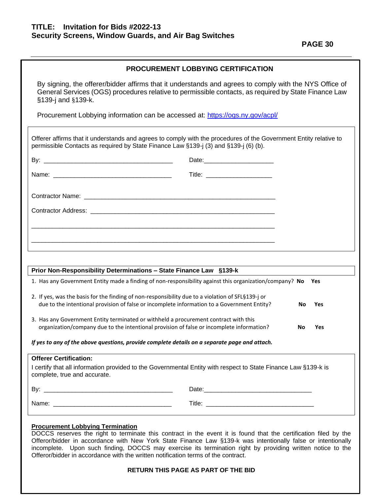**PAGE 30** 

| <b>PROCUREMENT LOBBYING CERTIFICATION</b> |  |  |  |
|-------------------------------------------|--|--|--|
|-------------------------------------------|--|--|--|

By signing, the offerer/bidder affirms that it understands and agrees to comply with the NYS Office of General Services (OGS) procedures relative to permissible contacts, as required by State Finance Law §139-j and §139-k.

Procurement Lobbying information can be accessed at: <https://ogs.ny.gov/acpl/>

|                               | Prior Non-Responsibility Determinations - State Finance Law §139-k                                                                                                                               |           | Yes |
|-------------------------------|--------------------------------------------------------------------------------------------------------------------------------------------------------------------------------------------------|-----------|-----|
|                               | 1. Has any Government Entity made a finding of non-responsibility against this organization/company? No                                                                                          |           |     |
|                               | 2. If yes, was the basis for the finding of non-responsibility due to a violation of SFL§139-j or<br>due to the intentional provision of false or incomplete information to a Government Entity? | <b>No</b> | Yes |
|                               |                                                                                                                                                                                                  |           |     |
|                               | 3. Has any Government Entity terminated or withheld a procurement contract with this<br>organization/company due to the intentional provision of false or incomplete information?                | No        | Yes |
|                               | If yes to any of the above questions, provide complete details on a separate page and attach.                                                                                                    |           |     |
| <b>Offerer Certification:</b> |                                                                                                                                                                                                  |           |     |
|                               | I certify that all information provided to the Governmental Entity with respect to State Finance Law §139-k is                                                                                   |           |     |
| complete, true and accurate.  |                                                                                                                                                                                                  |           |     |

#### **Procurement Lobbying Termination**

DOCCS reserves the right to terminate this contract in the event it is found that the certification filed by the Offeror/bidder in accordance with New York State Finance Law §139-k was intentionally false or intentionally incomplete. Upon such finding, DOCCS may exercise its termination right by providing written notice to the Offeror/bidder in accordance with the written notification terms of the contract.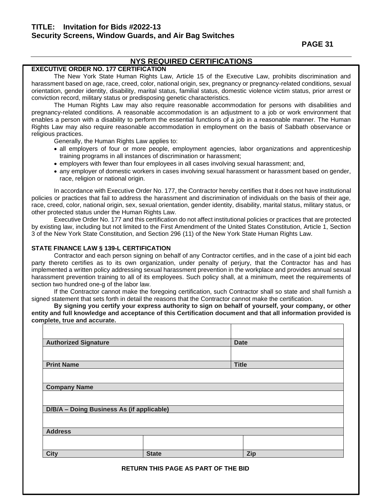**PAGE 31** 

### **NYS REQUIRED CERTIFICATIONS**

### **EXECUTIVE ORDER NO. 177 CERTIFICATION**

The New York State Human Rights Law, Article 15 of the Executive Law, prohibits discrimination and harassment based on age, race, creed, color, national origin, sex, pregnancy or pregnancy-related conditions, sexual orientation, gender identity, disability, marital status, familial status, domestic violence victim status, prior arrest or conviction record, military status or predisposing genetic characteristics.

The Human Rights Law may also require reasonable accommodation for persons with disabilities and pregnancy-related conditions. A reasonable accommodation is an adjustment to a job or work environment that enables a person with a disability to perform the essential functions of a job in a reasonable manner. The Human Rights Law may also require reasonable accommodation in employment on the basis of Sabbath observance or religious practices.

Generally, the Human Rights Law applies to:

- all employers of four or more people, employment agencies, labor organizations and apprenticeship training programs in all instances of discrimination or harassment;
- employers with fewer than four employees in all cases involving sexual harassment; and,
- any employer of domestic workers in cases involving sexual harassment or harassment based on gender, race, religion or national origin.

In accordance with Executive Order No. 177, the Contractor hereby certifies that it does not have institutional policies or practices that fail to address the harassment and discrimination of individuals on the basis of their age, race, creed, color, national origin, sex, sexual orientation, gender identity, disability, marital status, military status, or other protected status under the Human Rights Law.

Executive Order No. 177 and this certification do not affect institutional policies or practices that are protected by existing law, including but not limited to the First Amendment of the United States Constitution, Article 1, Section 3 of the New York State Constitution, and Section 296 (11) of the New York State Human Rights Law.

#### **STATE FINANCE LAW § 139-L CERTIFICATION**

Contractor and each person signing on behalf of any Contractor certifies, and in the case of a joint bid each party thereto certifies as to its own organization, under penalty of perjury, that the Contractor has and has implemented a written policy addressing sexual harassment prevention in the workplace and provides annual sexual harassment prevention training to all of its employees. Such policy shall, at a minimum, meet the requirements of section two hundred one-g of the labor law.

If the Contractor cannot make the foregoing certification, such Contractor shall so state and shall furnish a signed statement that sets forth in detail the reasons that the Contractor cannot make the certification.

**By signing you certify your express authority to sign on behalf of yourself, your company, or other entity and full knowledge and acceptance of this Certification document and that all information provided is complete, true and accurate.**

| <b>Authorized Signature</b>               |              | <b>Date</b>  |
|-------------------------------------------|--------------|--------------|
|                                           |              |              |
| <b>Print Name</b>                         |              | <b>Title</b> |
|                                           |              |              |
| <b>Company Name</b>                       |              |              |
|                                           |              |              |
| D/B/A - Doing Business As (if applicable) |              |              |
|                                           |              |              |
| <b>Address</b>                            |              |              |
|                                           |              |              |
| <b>City</b>                               | <b>State</b> | <b>Zip</b>   |
|                                           |              |              |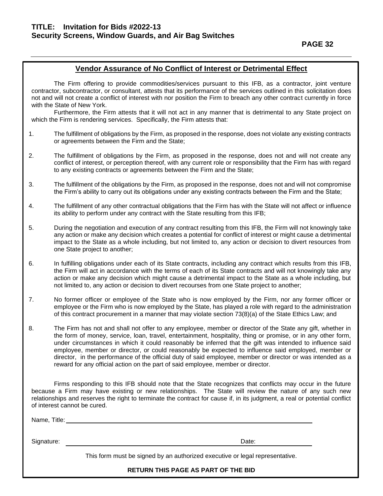### **Vendor Assurance of No Conflict of Interest or Detrimental Effect**

The Firm offering to provide commodities/services pursuant to this IFB, as a contractor, joint venture contractor, subcontractor, or consultant, attests that its performance of the services outlined in this solicitation does not and will not create a conflict of interest with nor position the Firm to breach any other contract currently in force with the State of New York.

Furthermore, the Firm attests that it will not act in any manner that is detrimental to any State project on which the Firm is rendering services. Specifically, the Firm attests that:

- 1. The fulfillment of obligations by the Firm, as proposed in the response, does not violate any existing contracts or agreements between the Firm and the State;
- 2. The fulfillment of obligations by the Firm, as proposed in the response, does not and will not create any conflict of interest, or perception thereof, with any current role or responsibility that the Firm has with regard to any existing contracts or agreements between the Firm and the State;
- 3. The fulfillment of the obligations by the Firm, as proposed in the response, does not and will not compromise the Firm's ability to carry out its obligations under any existing contracts between the Firm and the State;
- 4. The fulfillment of any other contractual obligations that the Firm has with the State will not affect or influence its ability to perform under any contract with the State resulting from this IFB;
- 5. During the negotiation and execution of any contract resulting from this IFB, the Firm will not knowingly take any action or make any decision which creates a potential for conflict of interest or might cause a detrimental impact to the State as a whole including, but not limited to, any action or decision to divert resources from one State project to another;
- 6. In fulfilling obligations under each of its State contracts, including any contract which results from this IFB, the Firm will act in accordance with the terms of each of its State contracts and will not knowingly take any action or make any decision which might cause a detrimental impact to the State as a whole including, but not limited to, any action or decision to divert recourses from one State project to another;
- 7. No former officer or employee of the State who is now employed by the Firm, nor any former officer or employee or the Firm who is now employed by the State, has played a role with regard to the administration of this contract procurement in a manner that may violate section 73(8)(a) of the State Ethics Law; and
- 8. The Firm has not and shall not offer to any employee, member or director of the State any gift, whether in the form of money, service, loan, travel, entertainment, hospitality, thing or promise, or in any other form, under circumstances in which it could reasonably be inferred that the gift was intended to influence said employee, member or director, or could reasonably be expected to influence said employed, member or director, in the performance of the official duty of said employee, member or director or was intended as a reward for any official action on the part of said employee, member or director.

Firms responding to this IFB should note that the State recognizes that conflicts may occur in the future because a Firm may have existing or new relationships. The State will review the nature of any such new relationships and reserves the right to terminate the contract for cause if, in its judgment, a real or potential conflict of interest cannot be cured.

Name, Title:

Signature: Date: Date: Date: Date: Date: Date: Date: Date: Date: Date: Date: Date: Date: Date: Date: Date: Date: Date: Date: Date: Date: Date: Date: Date: Date: Date: Date: Date: Date: Date: Date: Date: Date: Date: Date: D

This form must be signed by an authorized executive or legal representative.